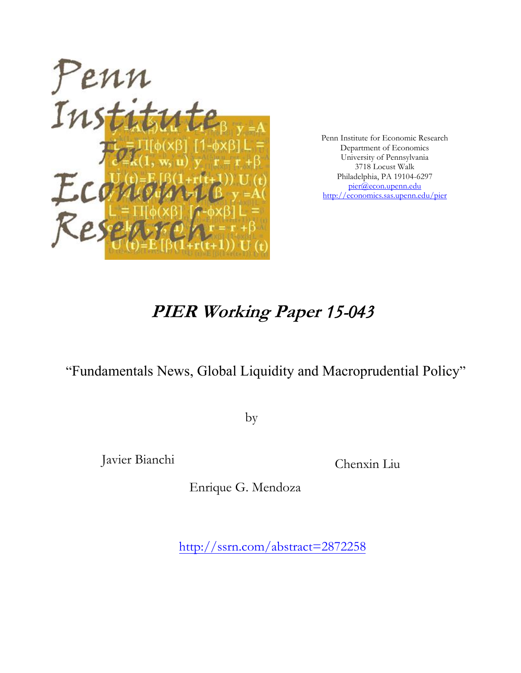

Penn Institute for Economic Research Department of Economics University of Pennsylvania 3718 Locust Walk Philadelphia, PA 19104-6297 [pier@econ.upenn.edu](mailto:pier@econ.upenn.edu) <http://economics.sas.upenn.edu/pier>

## **PIER Working Paper** *15-043*

## "Fundamentals News, Global Liquidity and Macroprudential Policy"

by

Javier Bianchi Chenxin Liu

Enrique G. Mendoza

[http://ssrn.com/abstract=](http://ssrn.com/abstract_id=)2872258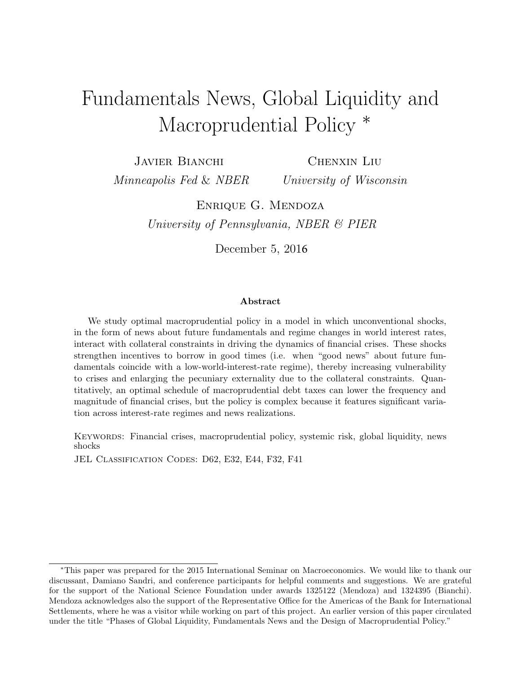# Fundamentals News, Global Liquidity and Macroprudential Policy<sup>\*</sup>

Javier Bianchi Minneapolis Fed & NBER

Chenxin Liu University of Wisconsin

Enrique G. Mendoza

University of Pennsylvania, NBER & PIER

December 5, 2016

#### Abstract

We study optimal macroprudential policy in a model in which unconventional shocks, in the form of news about future fundamentals and regime changes in world interest rates, interact with collateral constraints in driving the dynamics of financial crises. These shocks strengthen incentives to borrow in good times (i.e. when "good news" about future fundamentals coincide with a low-world-interest-rate regime), thereby increasing vulnerability to crises and enlarging the pecuniary externality due to the collateral constraints. Quantitatively, an optimal schedule of macroprudential debt taxes can lower the frequency and magnitude of financial crises, but the policy is complex because it features significant variation across interest-rate regimes and news realizations.

Keywords: Financial crises, macroprudential policy, systemic risk, global liquidity, news shocks

JEL Classification Codes: D62, E32, E44, F32, F41

<sup>∗</sup>This paper was prepared for the 2015 International Seminar on Macroeconomics. We would like to thank our discussant, Damiano Sandri, and conference participants for helpful comments and suggestions. We are grateful for the support of the National Science Foundation under awards 1325122 (Mendoza) and 1324395 (Bianchi). Mendoza acknowledges also the support of the Representative Office for the Americas of the Bank for International Settlements, where he was a visitor while working on part of this project. An earlier version of this paper circulated under the title "Phases of Global Liquidity, Fundamentals News and the Design of Macroprudential Policy."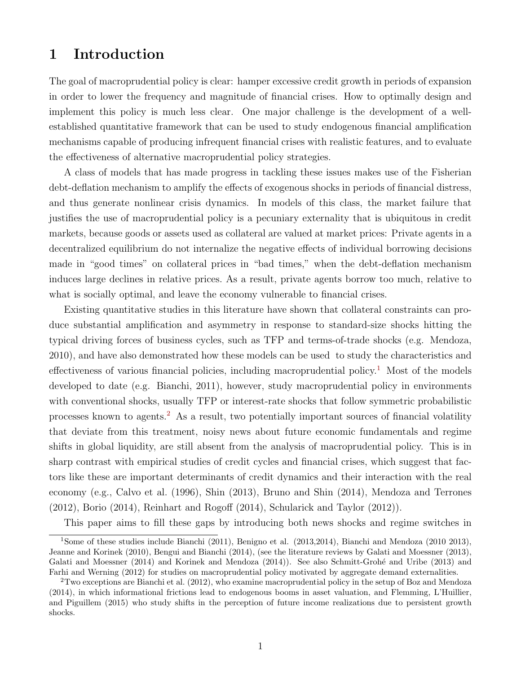## 1 Introduction

The goal of macroprudential policy is clear: hamper excessive credit growth in periods of expansion in order to lower the frequency and magnitude of financial crises. How to optimally design and implement this policy is much less clear. One major challenge is the development of a wellestablished quantitative framework that can be used to study endogenous financial amplification mechanisms capable of producing infrequent financial crises with realistic features, and to evaluate the effectiveness of alternative macroprudential policy strategies.

A class of models that has made progress in tackling these issues makes use of the Fisherian debt-deflation mechanism to amplify the effects of exogenous shocks in periods of financial distress, and thus generate nonlinear crisis dynamics. In models of this class, the market failure that justifies the use of macroprudential policy is a pecuniary externality that is ubiquitous in credit markets, because goods or assets used as collateral are valued at market prices: Private agents in a decentralized equilibrium do not internalize the negative effects of individual borrowing decisions made in "good times" on collateral prices in "bad times," when the debt-deflation mechanism induces large declines in relative prices. As a result, private agents borrow too much, relative to what is socially optimal, and leave the economy vulnerable to financial crises.

Existing quantitative studies in this literature have shown that collateral constraints can produce substantial amplification and asymmetry in response to standard-size shocks hitting the typical driving forces of business cycles, such as TFP and terms-of-trade shocks (e.g. [Mendoza,](#page-30-0) [2010\)](#page-30-0), and have also demonstrated how these models can be used to study the characteristics and effectiveness of various financial policies, including macroprudential policy.<sup>[1](#page-2-0)</sup> Most of the models developed to date (e.g. [Bianchi,](#page-29-0) [2011\)](#page-29-0), however, study macroprudential policy in environments with conventional shocks, usually TFP or interest-rate shocks that follow symmetric probabilistic processes known to agents.[2](#page-2-1) As a result, two potentially important sources of financial volatility that deviate from this treatment, noisy news about future economic fundamentals and regime shifts in global liquidity, are still absent from the analysis of macroprudential policy. This is in sharp contrast with empirical studies of credit cycles and financial crises, which suggest that factors like these are important determinants of credit dynamics and their interaction with the real economy (e.g., [Calvo et al.](#page-30-1) [\(1996\)](#page-30-1), [Shin](#page-31-0) [\(2013\)](#page-31-0), [Bruno and Shin](#page-29-1) [\(2014\)](#page-29-1), [Mendoza and Terrones](#page-30-2) [\(2012\)](#page-30-2), [Borio](#page-29-2) [\(2014\)](#page-29-2), [Reinhart and Rogoff](#page-31-1) [\(2014\)](#page-31-1), [Schularick and Taylor](#page-31-2) [\(2012\)](#page-31-2)).

<span id="page-2-0"></span>This paper aims to fill these gaps by introducing both news shocks and regime switches in

<sup>1</sup>Some of these studies include [Bianchi](#page-29-0) [\(2011\)](#page-29-0), [Benigno et al.](#page-29-3) [\(2013,](#page-29-3)[2014\)](#page-29-4), [Bianchi and Mendoza](#page-29-5) [\(2010](#page-29-5) [2013\)](#page-29-6), [Jeanne and Korinek](#page-30-3) [\(2010\)](#page-30-3), [Bengui and Bianchi](#page-29-7) [\(2014\)](#page-29-7), (see the literature reviews by [Galati and Moessner](#page-30-4) [\(2013\)](#page-30-4), [Galati and Moessner](#page-30-5) [\(2014\)](#page-30-6) and [Korinek and Mendoza](#page-30-6) (2014)). See also Schmitt-Grohé and Uribe [\(2013\)](#page-31-3) and [Farhi and Werning](#page-30-7) [\(2012\)](#page-30-7) for studies on macroprudential policy motivated by aggregate demand externalities.

<span id="page-2-1"></span><sup>2</sup>Two exceptions are [Bianchi et al.](#page-29-8) [\(2012\)](#page-29-8), who examine macroprudential policy in the setup of [Boz and Mendoza](#page-29-9) [\(2014\)](#page-29-9), in which informational frictions lead to endogenous booms in asset valuation, and [Flemming, L'Huillier,](#page-30-8) [and Piguillem](#page-30-8) [\(2015\)](#page-30-8) who study shifts in the perception of future income realizations due to persistent growth shocks.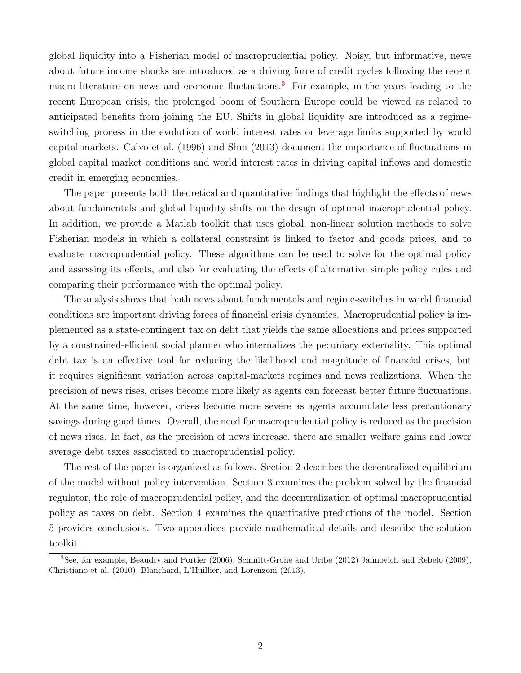global liquidity into a Fisherian model of macroprudential policy. Noisy, but informative, news about future income shocks are introduced as a driving force of credit cycles following the recent macro literature on news and economic fluctuations.<sup>[3](#page-3-0)</sup> For example, in the years leading to the recent European crisis, the prolonged boom of Southern Europe could be viewed as related to anticipated benefits from joining the EU. Shifts in global liquidity are introduced as a regimeswitching process in the evolution of world interest rates or leverage limits supported by world capital markets. [Calvo et al.](#page-30-1) [\(1996\)](#page-30-1) and [Shin](#page-31-0) [\(2013\)](#page-31-0) document the importance of fluctuations in global capital market conditions and world interest rates in driving capital inflows and domestic credit in emerging economies.

The paper presents both theoretical and quantitative findings that highlight the effects of news about fundamentals and global liquidity shifts on the design of optimal macroprudential policy. In addition, we provide a Matlab toolkit that uses global, non-linear solution methods to solve Fisherian models in which a collateral constraint is linked to factor and goods prices, and to evaluate macroprudential policy. These algorithms can be used to solve for the optimal policy and assessing its effects, and also for evaluating the effects of alternative simple policy rules and comparing their performance with the optimal policy.

The analysis shows that both news about fundamentals and regime-switches in world financial conditions are important driving forces of financial crisis dynamics. Macroprudential policy is implemented as a state-contingent tax on debt that yields the same allocations and prices supported by a constrained-efficient social planner who internalizes the pecuniary externality. This optimal debt tax is an effective tool for reducing the likelihood and magnitude of financial crises, but it requires significant variation across capital-markets regimes and news realizations. When the precision of news rises, crises become more likely as agents can forecast better future fluctuations. At the same time, however, crises become more severe as agents accumulate less precautionary savings during good times. Overall, the need for macroprudential policy is reduced as the precision of news rises. In fact, as the precision of news increase, there are smaller welfare gains and lower average debt taxes associated to macroprudential policy.

The rest of the paper is organized as follows. Section 2 describes the decentralized equilibrium of the model without policy intervention. Section 3 examines the problem solved by the financial regulator, the role of macroprudential policy, and the decentralization of optimal macroprudential policy as taxes on debt. Section 4 examines the quantitative predictions of the model. Section 5 provides conclusions. Two appendices provide mathematical details and describe the solution toolkit.

<span id="page-3-0"></span><sup>&</sup>lt;sup>3</sup>See, for example, [Beaudry and Portier](#page-29-10) [\(2006\)](#page-29-10), Schmitt-Grohé and Uribe [\(2012\)](#page-31-4) [Jaimovich and Rebelo](#page-30-9) [\(2009\)](#page-30-9), [Christiano et al.](#page-30-10) [\(2010\)](#page-30-10), [Blanchard, L'Huillier, and Lorenzoni](#page-29-11) [\(2013\)](#page-29-11).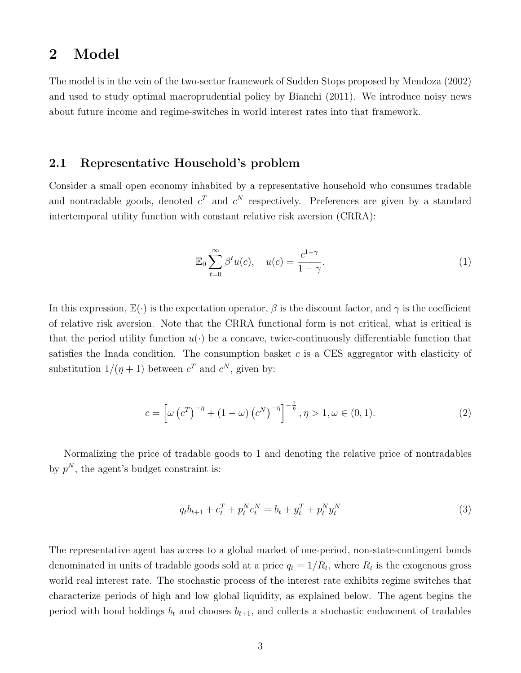## 2 Model

The model is in the vein of the two-sector framework of Sudden Stops proposed by [Mendoza](#page-30-11) [\(2002\)](#page-30-11) and used to study optimal macroprudential policy by [Bianchi](#page-29-0) [\(2011\)](#page-29-0). We introduce noisy news about future income and regime-switches in world interest rates into that framework.

#### 2.1 Representative Household's problem

Consider a small open economy inhabited by a representative household who consumes tradable and nontradable goods, denoted  $c^T$  and  $c^N$  respectively. Preferences are given by a standard intertemporal utility function with constant relative risk aversion (CRRA):

<span id="page-4-0"></span>
$$
\mathbb{E}_0 \sum_{t=0}^{\infty} \beta^t u(c), \quad u(c) = \frac{c^{1-\gamma}}{1-\gamma}.
$$
 (1)

In this expression,  $\mathbb{E}(\cdot)$  is the expectation operator,  $\beta$  is the discount factor, and  $\gamma$  is the coefficient of relative risk aversion. Note that the CRRA functional form is not critical, what is critical is that the period utility function  $u(\cdot)$  be a concave, twice-continuously differentiable function that satisfies the Inada condition. The consumption basket  $c$  is a CES aggregator with elasticity of substitution  $1/(\eta + 1)$  between  $c^T$  and  $c^N$ , given by:

$$
c = \left[ \omega \left( c^{T} \right)^{-\eta} + (1 - \omega) \left( c^{N} \right)^{-\eta} \right]^{-\frac{1}{\eta}}, \eta > 1, \omega \in (0, 1). \tag{2}
$$

Normalizing the price of tradable goods to 1 and denoting the relative price of nontradables by  $p^N$ , the agent's budget constraint is:

<span id="page-4-1"></span>
$$
q_t b_{t+1} + c_t^T + p_t^N c_t^N = b_t + y_t^T + p_t^N y_t^N
$$
\n(3)

The representative agent has access to a global market of one-period, non-state-contingent bonds denominated in units of tradable goods sold at a price  $q_t = 1/R_t$ , where  $R_t$  is the exogenous gross world real interest rate. The stochastic process of the interest rate exhibits regime switches that characterize periods of high and low global liquidity, as explained below. The agent begins the period with bond holdings  $b_t$  and chooses  $b_{t+1}$ , and collects a stochastic endowment of tradables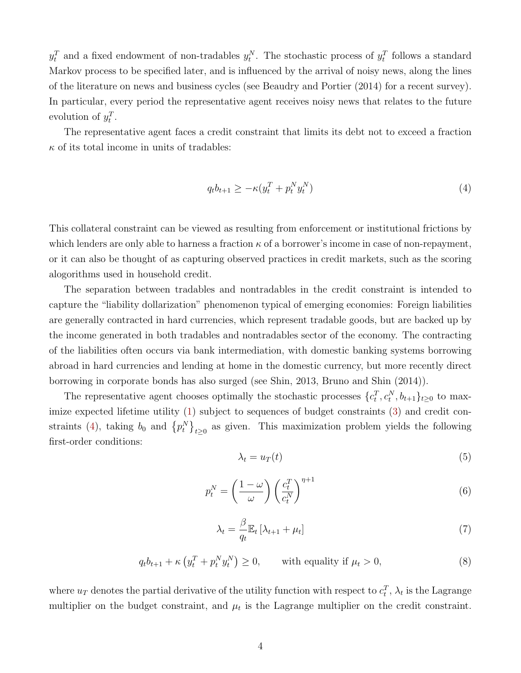$y_t^T$  and a fixed endowment of non-tradables  $y_t^N$ . The stochastic process of  $y_t^T$  follows a standard Markov process to be specified later, and is influenced by the arrival of noisy news, along the lines of the literature on news and business cycles (see [Beaudry and Portier](#page-29-12) [\(2014\)](#page-29-12) for a recent survey). In particular, every period the representative agent receives noisy news that relates to the future evolution of  $y_t^T$ .

The representative agent faces a credit constraint that limits its debt not to exceed a fraction  $\kappa$  of its total income in units of tradables:

<span id="page-5-0"></span>
$$
q_t b_{t+1} \ge -\kappa (y_t^T + p_t^N y_t^N) \tag{4}
$$

This collateral constraint can be viewed as resulting from enforcement or institutional frictions by which lenders are only able to harness a fraction  $\kappa$  of a borrower's income in case of non-repayment, or it can also be thought of as capturing observed practices in credit markets, such as the scoring alogorithms used in household credit.

The separation between tradables and nontradables in the credit constraint is intended to capture the "liability dollarization" phenomenon typical of emerging economies: Foreign liabilities are generally contracted in hard currencies, which represent tradable goods, but are backed up by the income generated in both tradables and nontradables sector of the economy. The contracting of the liabilities often occurs via bank intermediation, with domestic banking systems borrowing abroad in hard currencies and lending at home in the domestic currency, but more recently direct borrowing in corporate bonds has also surged (see [Shin,](#page-31-0) [2013,](#page-31-0) [Bruno and Shin](#page-29-1) [\(2014\)](#page-29-1)).

The representative agent chooses optimally the stochastic processes  $\{c_t^T, c_t^N, b_{t+1}\}_{t\geq 0}$  to maximize expected lifetime utility [\(1\)](#page-4-0) subject to sequences of budget constraints [\(3\)](#page-4-1) and credit con-straints [\(4\)](#page-5-0), taking  $b_0$  and  $\{p_t^N\}_{t\geq 0}$  as given. This maximization problem yields the following first-order conditions:

$$
\lambda_t = u_T(t) \tag{5}
$$

$$
p_t^N = \left(\frac{1-\omega}{\omega}\right) \left(\frac{c_t^T}{c_t^N}\right)^{\eta+1} \tag{6}
$$

<span id="page-5-1"></span>
$$
\lambda_t = \frac{\beta}{q_t} \mathbb{E}_t \left[ \lambda_{t+1} + \mu_t \right] \tag{7}
$$

$$
q_t b_{t+1} + \kappa \left( y_t^T + p_t^N y_t^N \right) \ge 0, \quad \text{with equality if } \mu_t > 0,
$$
\n
$$
(8)
$$

where  $u_T$  denotes the partial derivative of the utility function with respect to  $c_t^T$ ,  $\lambda_t$  is the Lagrange multiplier on the budget constraint, and  $\mu_t$  is the Lagrange multiplier on the credit constraint.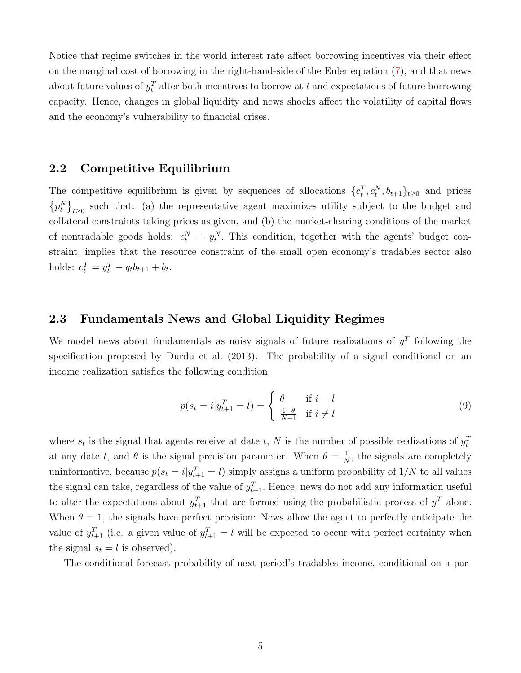Notice that regime switches in the world interest rate affect borrowing incentives via their effect on the marginal cost of borrowing in the right-hand-side of the Euler equation [\(7\)](#page-5-1), and that news about future values of  $y_t^T$  alter both incentives to borrow at t and expectations of future borrowing capacity. Hence, changes in global liquidity and news shocks affect the volatility of capital flows and the economy's vulnerability to financial crises.

#### 2.2 Competitive Equilibrium

The competitive equilibrium is given by sequences of allocations  $\{c_t^T, c_t^N, b_{t+1}\}_{t\geq 0}$  and prices  ${p_t^N}_{t\geq 0}$  such that: (a) the representative agent maximizes utility subject to the budget and collateral constraints taking prices as given, and (b) the market-clearing conditions of the market of nontradable goods holds:  $c_t^N = y_t^N$ . This condition, together with the agents' budget constraint, implies that the resource constraint of the small open economy's tradables sector also holds:  $c_t^T = y_t^T - q_t b_{t+1} + b_t$ .

#### <span id="page-6-0"></span>2.3 Fundamentals News and Global Liquidity Regimes

We model news about fundamentals as noisy signals of future realizations of  $y<sup>T</sup>$  following the specification proposed by [Durdu et al.](#page-30-12) [\(2013\)](#page-30-12). The probability of a signal conditional on an income realization satisfies the following condition:

$$
p(s_t = i | y_{t+1}^T = l) = \begin{cases} \theta & \text{if } i = l \\ \frac{1-\theta}{N-1} & \text{if } i \neq l \end{cases}
$$
 (9)

where  $s_t$  is the signal that agents receive at date t, N is the number of possible realizations of  $y_t^T$ at any date t, and  $\theta$  is the signal precision parameter. When  $\theta = \frac{1}{N}$  $\frac{1}{N}$ , the signals are completely uninformative, because  $p(s_t = i | y_{t+1}^T = l)$  simply assigns a uniform probability of  $1/N$  to all values the signal can take, regardless of the value of  $y_{t+1}^T$ . Hence, news do not add any information useful to alter the expectations about  $y_{t+1}^T$  that are formed using the probabilistic process of  $y^T$  alone. When  $\theta = 1$ , the signals have perfect precision: News allow the agent to perfectly anticipate the value of  $y_{t+1}^T$  (i.e. a given value of  $y_{t+1}^T = l$  will be expected to occur with perfect certainty when the signal  $s_t = l$  is observed).

The conditional forecast probability of next period's tradables income, conditional on a par-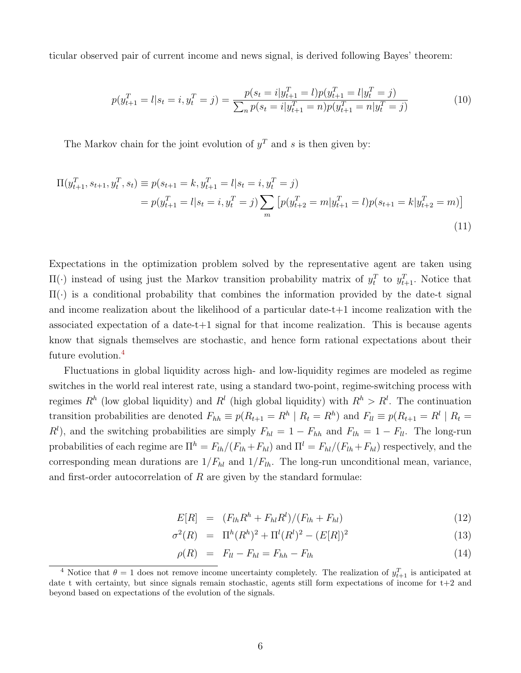ticular observed pair of current income and news signal, is derived following Bayes' theorem:

$$
p(y_{t+1}^T = l | s_t = i, y_t^T = j) = \frac{p(s_t = i | y_{t+1}^T = l) p(y_{t+1}^T = l | y_t^T = j)}{\sum_n p(s_t = i | y_{t+1}^T = n) p(y_{t+1}^T = n | y_t^T = j)} \tag{10}
$$

The Markov chain for the joint evolution of  $y<sup>T</sup>$  and s is then given by:

$$
\Pi(y_{t+1}^T, s_{t+1}, y_t^T, s_t) \equiv p(s_{t+1} = k, y_{t+1}^T = l | s_t = i, y_t^T = j)
$$
  
=  $p(y_{t+1}^T = l | s_t = i, y_t^T = j) \sum_m [p(y_{t+2}^T = m | y_{t+1}^T = l) p(s_{t+1} = k | y_{t+2}^T = m)]$  (11)

Expectations in the optimization problem solved by the representative agent are taken using  $\Pi(\cdot)$  instead of using just the Markov transition probability matrix of  $y_t^T$  to  $y_{t+1}^T$ . Notice that  $\Pi(\cdot)$  is a conditional probability that combines the information provided by the date-t signal and income realization about the likelihood of a particular date-t+1 income realization with the associated expectation of a date-t+1 signal for that income realization. This is because agents know that signals themselves are stochastic, and hence form rational expectations about their future evolution.[4](#page-7-0)

Fluctuations in global liquidity across high- and low-liquidity regimes are modeled as regime switches in the world real interest rate, using a standard two-point, regime-switching process with regimes  $R^h$  (low global liquidity) and  $R^l$  (high global liquidity) with  $R^h > R^l$ . The continuation transition probabilities are denoted  $F_{hh} \equiv p(R_{t+1} = R^h \mid R_t = R^h)$  and  $F_{ll} \equiv p(R_{t+1} = R^l \mid R_t = R^h)$  $R^l$ , and the switching probabilities are simply  $F_{hl} = 1 - F_{hh}$  and  $F_{lh} = 1 - F_{ll}$ . The long-run probabilities of each regime are  $\Pi^h = F_{lh}/(F_{lh}+F_{hl})$  and  $\Pi^l = F_{hl}/(F_{lh}+F_{hl})$  respectively, and the corresponding mean durations are  $1/F_{hl}$  and  $1/F_{lh}$ . The long-run unconditional mean, variance, and first-order autocorrelation of R are given by the standard formulae:

$$
E[R] = (F_{lh}R^h + F_{hl}R^l)/(F_{lh} + F_{hl})
$$
\n(12)

$$
\sigma^{2}(R) = \Pi^{h}(R^{h})^{2} + \Pi^{l}(R^{l})^{2} - (E[R])^{2}
$$
\n(13)

$$
\rho(R) = F_{ll} - F_{hl} = F_{hh} - F_{lh} \tag{14}
$$

<span id="page-7-0"></span><sup>&</sup>lt;sup>4</sup> Notice that  $\theta = 1$  does not remove income uncertainty completely. The realization of  $y_{t+1}^T$  is anticipated at date t with certainty, but since signals remain stochastic, agents still form expectations of income for t+2 and beyond based on expectations of the evolution of the signals.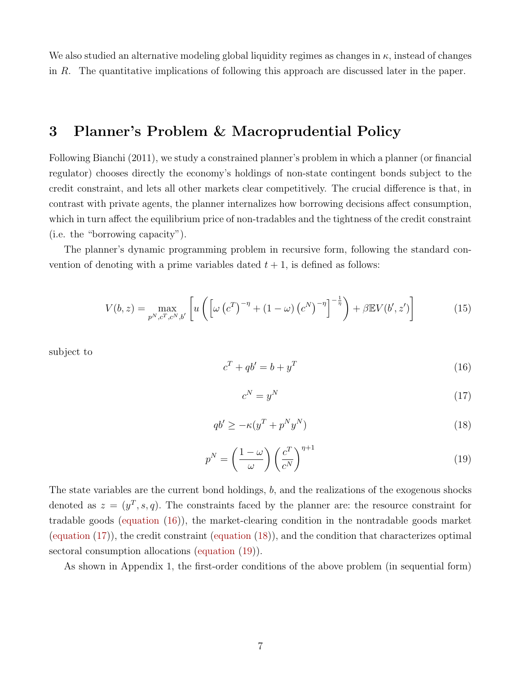We also studied an alternative modeling global liquidity regimes as changes in  $\kappa$ , instead of changes in R. The quantitative implications of following this approach are discussed later in the paper.

### 3 Planner's Problem & Macroprudential Policy

Following [Bianchi](#page-29-0) [\(2011\)](#page-29-0), we study a constrained planner's problem in which a planner (or financial regulator) chooses directly the economy's holdings of non-state contingent bonds subject to the credit constraint, and lets all other markets clear competitively. The crucial difference is that, in contrast with private agents, the planner internalizes how borrowing decisions affect consumption, which in turn affect the equilibrium price of non-tradables and the tightness of the credit constraint (i.e. the "borrowing capacity").

The planner's dynamic programming problem in recursive form, following the standard convention of denoting with a prime variables dated  $t + 1$ , is defined as follows:

$$
V(b,z) = \max_{p^N, c^T, c^N, b'} \left[ u \left( \left[ \omega \left( c^T \right)^{-\eta} + (1 - \omega) \left( c^N \right)^{-\eta} \right]^{-\frac{1}{\eta}} \right) + \beta \mathbb{E} V(b', z') \right] \tag{15}
$$

subject to

<span id="page-8-0"></span>
$$
c^T + qb' = b + y^T \tag{16}
$$

<span id="page-8-1"></span>
$$
c^N = y^N \tag{17}
$$

<span id="page-8-2"></span>
$$
qb' \ge -\kappa (y^T + p^N y^N) \tag{18}
$$

<span id="page-8-3"></span>
$$
p^N = \left(\frac{1-\omega}{\omega}\right) \left(\frac{c^T}{c^N}\right)^{\eta+1} \tag{19}
$$

The state variables are the current bond holdings, b, and the realizations of the exogenous shocks denoted as  $z = (y^T, s, q)$ . The constraints faced by the planner are: the resource constraint for tradable goods [\(equation](#page-8-0) (16)), the market-clearing condition in the nontradable goods market [\(equation](#page-8-1) (17)), the credit constraint [\(equation](#page-8-2) (18)), and the condition that characterizes optimal sectoral consumption allocations [\(equation](#page-8-3) (19)).

As shown in Appendix 1, the first-order conditions of the above problem (in sequential form)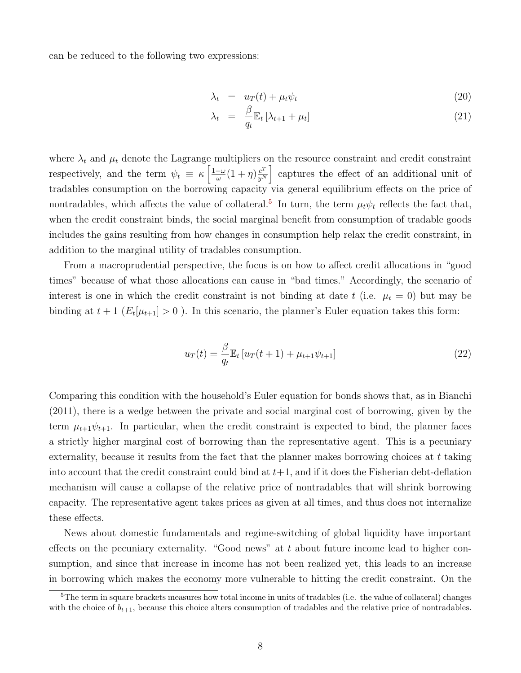can be reduced to the following two expressions:

$$
\lambda_t = u_T(t) + \mu_t \psi_t \tag{20}
$$

$$
\lambda_t = \frac{\beta}{q_t} \mathbb{E}_t \left[ \lambda_{t+1} + \mu_t \right] \tag{21}
$$

where  $\lambda_t$  and  $\mu_t$  denote the Lagrange multipliers on the resource constraint and credit constraint respectively, and the term  $\psi_t \equiv \kappa \left[ \frac{1-\omega}{\omega} \right]$  $\frac{-\omega}{\omega}(1+\eta)\frac{c^T}{y^N}$  $\left[\frac{c^T}{y^N}\right]$  captures the effect of an additional unit of tradables consumption on the borrowing capacity via general equilibrium effects on the price of nontradables, which affects the value of collateral.<sup>[5](#page-9-0)</sup> In turn, the term  $\mu_t \psi_t$  reflects the fact that, when the credit constraint binds, the social marginal benefit from consumption of tradable goods includes the gains resulting from how changes in consumption help relax the credit constraint, in addition to the marginal utility of tradables consumption.

From a macroprudential perspective, the focus is on how to affect credit allocations in "good times" because of what those allocations can cause in "bad times." Accordingly, the scenario of interest is one in which the credit constraint is not binding at date t (i.e.  $\mu_t = 0$ ) but may be binding at  $t + 1$  ( $E_t[\mu_{t+1}] > 0$ ). In this scenario, the planner's Euler equation takes this form:

$$
u_T(t) = \frac{\beta}{q_t} \mathbb{E}_t \left[ u_T(t+1) + \mu_{t+1} \psi_{t+1} \right]
$$
\n(22)

Comparing this condition with the household's Euler equation for bonds shows that, as in [Bianchi](#page-29-0) [\(2011\)](#page-29-0), there is a wedge between the private and social marginal cost of borrowing, given by the term  $\mu_{t+1}\psi_{t+1}$ . In particular, when the credit constraint is expected to bind, the planner faces a strictly higher marginal cost of borrowing than the representative agent. This is a pecuniary externality, because it results from the fact that the planner makes borrowing choices at  $t$  taking into account that the credit constraint could bind at  $t+1$ , and if it does the Fisherian debt-deflation mechanism will cause a collapse of the relative price of nontradables that will shrink borrowing capacity. The representative agent takes prices as given at all times, and thus does not internalize these effects.

News about domestic fundamentals and regime-switching of global liquidity have important effects on the pecuniary externality. "Good news" at  $t$  about future income lead to higher consumption, and since that increase in income has not been realized yet, this leads to an increase in borrowing which makes the economy more vulnerable to hitting the credit constraint. On the

<span id="page-9-0"></span><sup>5</sup>The term in square brackets measures how total income in units of tradables (i.e. the value of collateral) changes with the choice of  $b_{t+1}$ , because this choice alters consumption of tradables and the relative price of nontradables.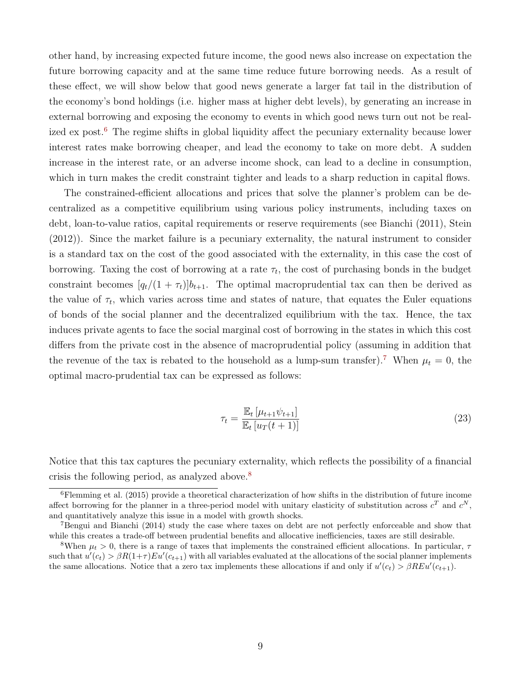other hand, by increasing expected future income, the good news also increase on expectation the future borrowing capacity and at the same time reduce future borrowing needs. As a result of these effect, we will show below that good news generate a larger fat tail in the distribution of the economy's bond holdings (i.e. higher mass at higher debt levels), by generating an increase in external borrowing and exposing the economy to events in which good news turn out not be real-ized ex post.<sup>[6](#page-10-0)</sup> The regime shifts in global liquidity affect the pecuniary externality because lower interest rates make borrowing cheaper, and lead the economy to take on more debt. A sudden increase in the interest rate, or an adverse income shock, can lead to a decline in consumption, which in turn makes the credit constraint tighter and leads to a sharp reduction in capital flows.

The constrained-efficient allocations and prices that solve the planner's problem can be decentralized as a competitive equilibrium using various policy instruments, including taxes on debt, loan-to-value ratios, capital requirements or reserve requirements (see [Bianchi](#page-29-0) [\(2011\)](#page-29-0), [Stein](#page-31-5) [\(2012\)](#page-31-5)). Since the market failure is a pecuniary externality, the natural instrument to consider is a standard tax on the cost of the good associated with the externality, in this case the cost of borrowing. Taxing the cost of borrowing at a rate  $\tau_t$ , the cost of purchasing bonds in the budget constraint becomes  $[q_t/(1 + \tau_t)]b_{t+1}$ . The optimal macroprudential tax can then be derived as the value of  $\tau_t$ , which varies across time and states of nature, that equates the Euler equations of bonds of the social planner and the decentralized equilibrium with the tax. Hence, the tax induces private agents to face the social marginal cost of borrowing in the states in which this cost differs from the private cost in the absence of macroprudential policy (assuming in addition that the revenue of the tax is rebated to the household as a lump-sum transfer).<sup>[7](#page-10-1)</sup> When  $\mu_t = 0$ , the optimal macro-prudential tax can be expressed as follows:

<span id="page-10-3"></span>
$$
\tau_t = \frac{\mathbb{E}_t \left[ \mu_{t+1} \psi_{t+1} \right]}{\mathbb{E}_t \left[ u_T(t+1) \right]} \tag{23}
$$

Notice that this tax captures the pecuniary externality, which reflects the possibility of a financial crisis the following period, as analyzed above.[8](#page-10-2)

<span id="page-10-0"></span> ${}^{6}$ [Flemming et al.](#page-30-8) [\(2015\)](#page-30-8) provide a theoretical characterization of how shifts in the distribution of future income affect borrowing for the planner in a three-period model with unitary elasticity of substitution across  $c^T$  and  $c^N$ , and quantitatively analyze this issue in a model with growth shocks.

<span id="page-10-1"></span><sup>7</sup>[Bengui and Bianchi](#page-29-7) [\(2014\)](#page-29-7) study the case where taxes on debt are not perfectly enforceable and show that while this creates a trade-off between prudential benefits and allocative inefficiencies, taxes are still desirable.

<span id="page-10-2"></span><sup>&</sup>lt;sup>8</sup>When  $\mu_t > 0$ , there is a range of taxes that implements the constrained efficient allocations. In particular,  $\tau$ such that  $u'(c_t) > \beta R(1+\tau) E u'(c_{t+1})$  with all variables evaluated at the allocations of the social planner implements the same allocations. Notice that a zero tax implements these allocations if and only if  $u'(c_t) > \beta R E u'(c_{t+1})$ .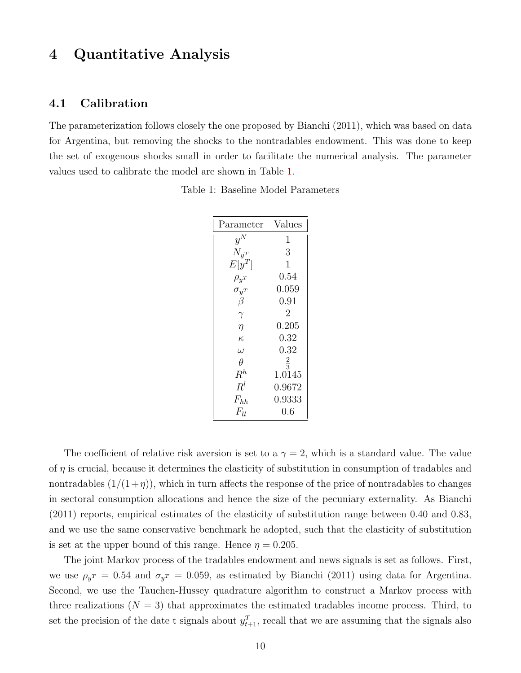## 4 Quantitative Analysis

#### 4.1 Calibration

<span id="page-11-0"></span>The parameterization follows closely the one proposed by [Bianchi](#page-29-0) [\(2011\)](#page-29-0), which was based on data for Argentina, but removing the shocks to the nontradables endowment. This was done to keep the set of exogenous shocks small in order to facilitate the numerical analysis. The parameter values used to calibrate the model are shown in Table [1.](#page-11-0)

| Values         |
|----------------|
| 1              |
| 3              |
| 1              |
| 0.54           |
| 0.059          |
| 0.91           |
| $\overline{2}$ |
| 0.205          |
| 0.32           |
| $\rm 0.32$     |
| $\frac{2}{3}$  |
| 1.0145         |
| 0.9672         |
| 0.9333         |
| 0.6            |
|                |

Table 1: Baseline Model Parameters

The coefficient of relative risk aversion is set to a  $\gamma = 2$ , which is a standard value. The value of  $\eta$  is crucial, because it determines the elasticity of substitution in consumption of tradables and nontradables  $(1/(1+\eta))$ , which in turn affects the response of the price of nontradables to changes in sectoral consumption allocations and hence the size of the pecuniary externality. As [Bianchi](#page-29-0) [\(2011\)](#page-29-0) reports, empirical estimates of the elasticity of substitution range between 0.40 and 0.83, and we use the same conservative benchmark he adopted, such that the elasticity of substitution is set at the upper bound of this range. Hence  $\eta = 0.205$ .

The joint Markov process of the tradables endowment and news signals is set as follows. First, we use  $\rho_{yT} = 0.54$  and  $\sigma_{yT} = 0.059$ , as estimated by [Bianchi](#page-29-0) [\(2011\)](#page-29-0) using data for Argentina. Second, we use the Tauchen-Hussey quadrature algorithm to construct a Markov process with three realizations  $(N = 3)$  that approximates the estimated tradables income process. Third, to set the precision of the date t signals about  $y_{t+1}^T$ , recall that we are assuming that the signals also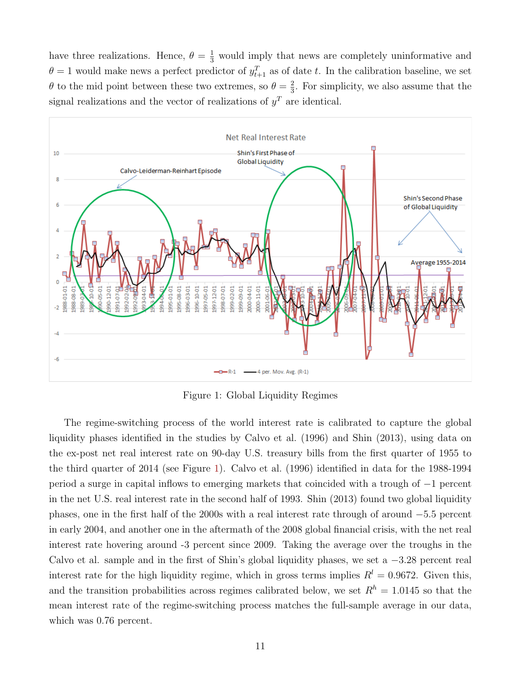have three realizations. Hence,  $\theta = \frac{1}{3}$  would imply that news are completely uninformative and  $\theta = 1$  would make news a perfect predictor of  $y_{t+1}^T$  as of date t. In the calibration baseline, we set  $\theta$  to the mid point between these two extremes, so  $\theta = \frac{2}{3}$  $\frac{2}{3}$ . For simplicity, we also assume that the signal realizations and the vector of realizations of  $y<sup>T</sup>$  are identical.

<span id="page-12-0"></span>

Figure 1: Global Liquidity Regimes

The regime-switching process of the world interest rate is calibrated to capture the global liquidity phases identified in the studies by [Calvo et al.](#page-30-1) [\(1996\)](#page-30-1) and [Shin](#page-31-0) [\(2013\)](#page-31-0), using data on the ex-post net real interest rate on 90-day U.S. treasury bills from the first quarter of 1955 to the third quarter of 2014 (see Figure [1\)](#page-12-0). [Calvo et al.](#page-30-1) [\(1996\)](#page-30-1) identified in data for the 1988-1994 period a surge in capital inflows to emerging markets that coincided with a trough of −1 percent in the net U.S. real interest rate in the second half of 1993. [Shin](#page-31-0) [\(2013\)](#page-31-0) found two global liquidity phases, one in the first half of the 2000s with a real interest rate through of around −5.5 percent in early 2004, and another one in the aftermath of the 2008 global financial crisis, with the net real interest rate hovering around -3 percent since 2009. Taking the average over the troughs in the Calvo et al. sample and in the first of Shin's global liquidity phases, we set a  $-3.28$  percent real interest rate for the high liquidity regime, which in gross terms implies  $R<sup>l</sup> = 0.9672$ . Given this, and the transition probabilities across regimes calibrated below, we set  $R<sup>h</sup> = 1.0145$  so that the mean interest rate of the regime-switching process matches the full-sample average in our data, which was 0.76 percent.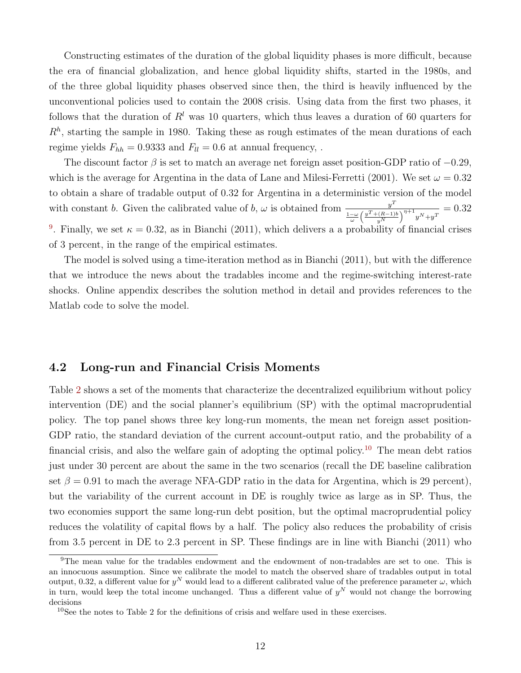Constructing estimates of the duration of the global liquidity phases is more difficult, because the era of financial globalization, and hence global liquidity shifts, started in the 1980s, and of the three global liquidity phases observed since then, the third is heavily influenced by the unconventional policies used to contain the 2008 crisis. Using data from the first two phases, it follows that the duration of  $R^l$  was 10 quarters, which thus leaves a duration of 60 quarters for  $R<sup>h</sup>$ , starting the sample in 1980. Taking these as rough estimates of the mean durations of each regime yields  $F_{hh} = 0.9333$  and  $F_{ll} = 0.6$  at annual frequency, .

The discount factor  $\beta$  is set to match an average net foreign asset position-GDP ratio of  $-0.29$ , which is the average for Argentina in the data of [Lane and Milesi-Ferretti](#page-30-13) [\(2001\)](#page-30-13). We set  $\omega = 0.32$ to obtain a share of tradable output of 0.32 for Argentina in a deterministic version of the model with constant b. Given the calibrated value of b,  $\omega$  is obtained from  $\frac{y^T}{\sqrt{x^T+y^T}}$  $\frac{1-\omega}{\omega}\left(\frac{y^T+(R-1)b}{y^N}\right)$  $\frac{y^4}{\left( \frac{(R-1)b}{y^N} \right)^{\eta+1}y^N+y^T} = 0.32$ 

<sup>[9](#page-13-0)</sup>. Finally, we set  $\kappa = 0.32$ , as in [Bianchi](#page-29-0) [\(2011\)](#page-29-0), which delivers a a probability of financial crises of 3 percent, in the range of the empirical estimates.

The model is solved using a time-iteration method as in [Bianchi](#page-29-0) [\(2011\)](#page-29-0), but with the difference that we introduce the news about the tradables income and the regime-switching interest-rate shocks. Online appendix describes the solution method in detail and provides references to the Matlab code to solve the model.

#### 4.2 Long-run and Financial Crisis Moments

Table [2](#page-14-0) shows a set of the moments that characterize the decentralized equilibrium without policy intervention (DE) and the social planner's equilibrium (SP) with the optimal macroprudential policy. The top panel shows three key long-run moments, the mean net foreign asset position-GDP ratio, the standard deviation of the current account-output ratio, and the probability of a financial crisis, and also the welfare gain of adopting the optimal policy.<sup>[10](#page-13-1)</sup> The mean debt ratios just under 30 percent are about the same in the two scenarios (recall the DE baseline calibration set  $\beta = 0.91$  to mach the average NFA-GDP ratio in the data for Argentina, which is 29 percent), but the variability of the current account in DE is roughly twice as large as in SP. Thus, the two economies support the same long-run debt position, but the optimal macroprudential policy reduces the volatility of capital flows by a half. The policy also reduces the probability of crisis from 3.5 percent in DE to 2.3 percent in SP. These findings are in line with [Bianchi](#page-29-0) [\(2011\)](#page-29-0) who

<span id="page-13-0"></span><sup>&</sup>lt;sup>9</sup>The mean value for the tradables endowment and the endowment of non-tradables are set to one. This is an innocuous assumption. Since we calibrate the model to match the observed share of tradables output in total output, 0.32, a different value for  $y^N$  would lead to a different calibrated value of the preference parameter  $\omega$ , which in turn, would keep the total income unchanged. Thus a different value of  $y<sup>N</sup>$  would not change the borrowing decisions

<span id="page-13-1"></span> $10$ See the notes to Table 2 for the definitions of crisis and welfare used in these exercises.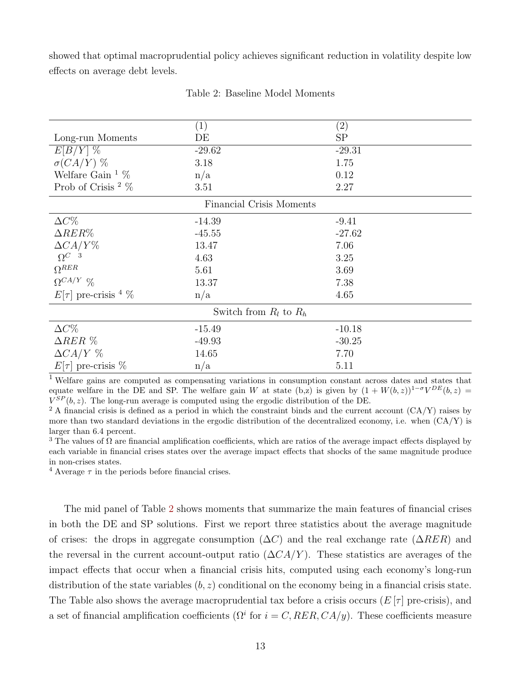<span id="page-14-0"></span>showed that optimal macroprudential policy achieves significant reduction in volatility despite low effects on average debt levels.

| $\left( 1\right)$          | $\left( 2\right)$ |  |  |  |  |  |
|----------------------------|-------------------|--|--|--|--|--|
|                            |                   |  |  |  |  |  |
|                            | SP                |  |  |  |  |  |
| $-29.62$                   | $-29.31$          |  |  |  |  |  |
| 3.18                       | 1.75              |  |  |  |  |  |
| n/a                        | 0.12              |  |  |  |  |  |
| 3.51                       | 2.27              |  |  |  |  |  |
| Financial Crisis Moments   |                   |  |  |  |  |  |
| $-14.39$                   | $-9.41$           |  |  |  |  |  |
| $-45.55$                   | $-27.62$          |  |  |  |  |  |
| 13.47                      | 7.06              |  |  |  |  |  |
| 4.63                       | 3.25              |  |  |  |  |  |
| 5.61                       | 3.69              |  |  |  |  |  |
| 13.37                      | 7.38              |  |  |  |  |  |
| n/a                        | 4.65              |  |  |  |  |  |
| Switch from $R_l$ to $R_h$ |                   |  |  |  |  |  |
| $-15.49$                   | $-10.18$          |  |  |  |  |  |
| $-49.93$                   | $-30.25$          |  |  |  |  |  |
| 14.65                      | 7.70              |  |  |  |  |  |
| n/a                        | 5.11              |  |  |  |  |  |
|                            | DE                |  |  |  |  |  |

Table 2: Baseline Model Moments

<sup>1</sup> Welfare gains are computed as compensating variations in consumption constant across dates and states that equate welfare in the DE and SP. The welfare gain W at state (b,z) is given by  $(1 + W(b, z))^{1-\sigma}V^{DE}(b, z)$  $V^{SP}(b, z)$ . The long-run average is computed using the ergodic distribution of the DE.

 $2$  A financial crisis is defined as a period in which the constraint binds and the current account  $(CA/Y)$  raises by more than two standard deviations in the ergodic distribution of the decentralized economy, i.e. when  $(CA/Y)$  is larger than 6.4 percent.

<sup>3</sup> The values of  $\Omega$  are financial amplification coefficients, which are ratios of the average impact effects displayed by each variable in financial crises states over the average impact effects that shocks of the same magnitude produce in non-crises states.

<sup>4</sup> Average  $\tau$  in the periods before financial crises.

The mid panel of Table [2](#page-14-0) shows moments that summarize the main features of financial crises in both the DE and SP solutions. First we report three statistics about the average magnitude of crises: the drops in aggregate consumption  $(\Delta C)$  and the real exchange rate  $(\Delta RER)$  and the reversal in the current account-output ratio  $(\Delta CA/Y)$ . These statistics are averages of the impact effects that occur when a financial crisis hits, computed using each economy's long-run distribution of the state variables  $(b, z)$  conditional on the economy being in a financial crisis state. The Table also shows the average macroprudential tax before a crisis occurs  $(E[\tau])$  pre-crisis), and a set of financial amplification coefficients ( $\Omega^i$  for  $i = C, RER, CA/y$ ). These coefficients measure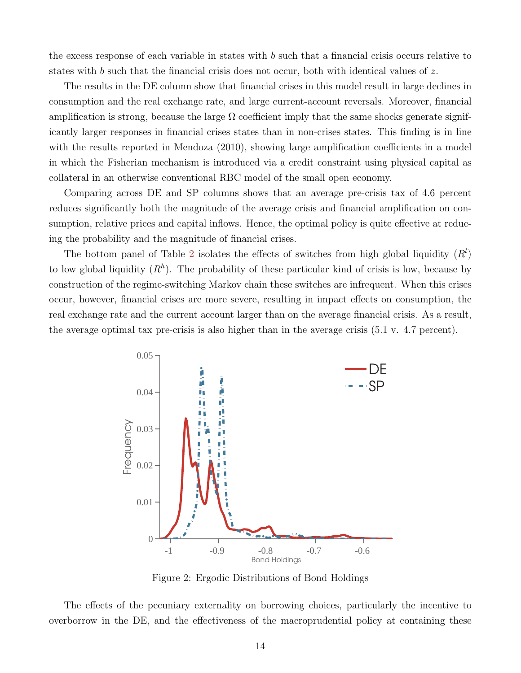the excess response of each variable in states with  $b$  such that a financial crisis occurs relative to states with b such that the financial crisis does not occur, both with identical values of  $z$ .

The results in the DE column show that financial crises in this model result in large declines in consumption and the real exchange rate, and large current-account reversals. Moreover, financial amplification is strong, because the large  $\Omega$  coefficient imply that the same shocks generate significantly larger responses in financial crises states than in non-crises states. This finding is in line with the results reported in [Mendoza](#page-30-0)  $(2010)$ , showing large amplification coefficients in a model in which the Fisherian mechanism is introduced via a credit constraint using physical capital as collateral in an otherwise conventional RBC model of the small open economy.

Comparing across DE and SP columns shows that an average pre-crisis tax of 4.6 percent reduces significantly both the magnitude of the average crisis and financial amplification on consumption, relative prices and capital inflows. Hence, the optimal policy is quite effective at reducing the probability and the magnitude of financial crises.

The bottom panel of Table [2](#page-14-0) isolates the effects of switches from high global liquidity  $(R<sup>l</sup>)$ to low global liquidity  $(R<sup>h</sup>)$ . The probability of these particular kind of crisis is low, because by construction of the regime-switching Markov chain these switches are infrequent. When this crises occur, however, financial crises are more severe, resulting in impact effects on consumption, the real exchange rate and the current account larger than on the average financial crisis. As a result, the average optimal tax pre-crisis is also higher than in the average crisis (5.1 v. 4.7 percent).

<span id="page-15-0"></span>

Figure 2: Ergodic Distributions of Bond Holdings

The effects of the pecuniary externality on borrowing choices, particularly the incentive to overborrow in the DE, and the effectiveness of the macroprudential policy at containing these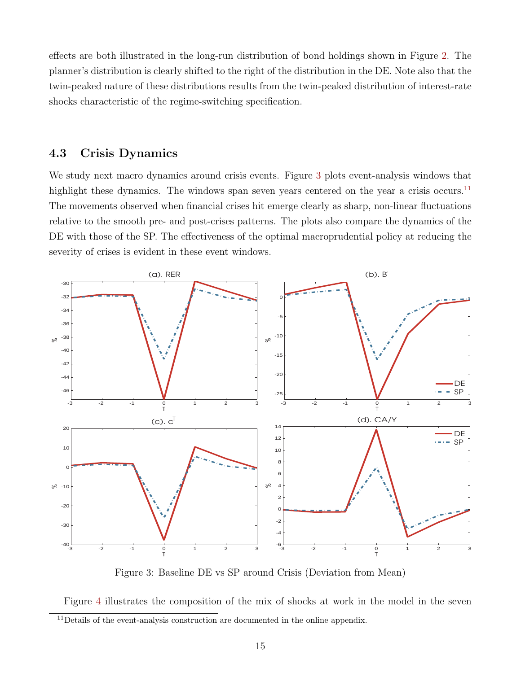effects are both illustrated in the long-run distribution of bond holdings shown in Figure [2.](#page-15-0) The planner's distribution is clearly shifted to the right of the distribution in the DE. Note also that the twin-peaked nature of these distributions results from the twin-peaked distribution of interest-rate shocks characteristic of the regime-switching specification.

#### 4.3 Crisis Dynamics

We study next macro dynamics around crisis events. Figure [3](#page-16-0) plots event-analysis windows that highlight these dynamics. The windows span seven years centered on the year a crisis occurs.<sup>[11](#page-16-1)</sup> The movements observed when financial crises hit emerge clearly as sharp, non-linear fluctuations relative to the smooth pre- and post-crises patterns. The plots also compare the dynamics of the DE with those of the SP. The effectiveness of the optimal macroprudential policy at reducing the severity of crises is evident in these event windows.

<span id="page-16-0"></span>

Figure 3: Baseline DE vs SP around Crisis (Deviation from Mean)

<span id="page-16-1"></span>Figure [4](#page-17-0) illustrates the composition of the mix of shocks at work in the model in the seven <sup>11</sup>Details of the event-analysis construction are documented in the online appendix.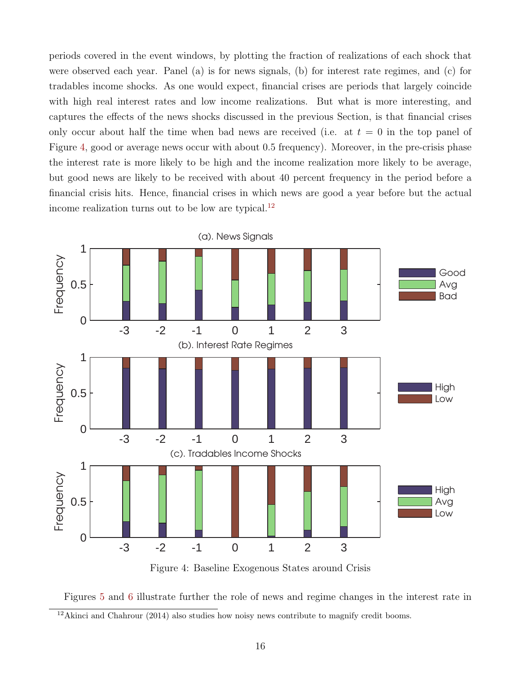periods covered in the event windows, by plotting the fraction of realizations of each shock that were observed each year. Panel (a) is for news signals, (b) for interest rate regimes, and (c) for tradables income shocks. As one would expect, financial crises are periods that largely coincide with high real interest rates and low income realizations. But what is more interesting, and captures the effects of the news shocks discussed in the previous Section, is that financial crises only occur about half the time when bad news are received (i.e. at  $t = 0$  in the top panel of Figure [4,](#page-17-0) good or average news occur with about 0.5 frequency). Moreover, in the pre-crisis phase the interest rate is more likely to be high and the income realization more likely to be average, but good news are likely to be received with about 40 percent frequency in the period before a financial crisis hits. Hence, financial crises in which news are good a year before but the actual income realization turns out to be low are typical. $^{12}$  $^{12}$  $^{12}$ 

<span id="page-17-0"></span>

Figure 4: Baseline Exogenous States around Crisis

<span id="page-17-1"></span>Figures [5](#page-18-0) and [6](#page-19-0) illustrate further the role of news and regime changes in the interest rate in <sup>12</sup>[Akinci and Chahrour](#page-29-13) [\(2014\)](#page-29-13) also studies how noisy news contribute to magnify credit booms.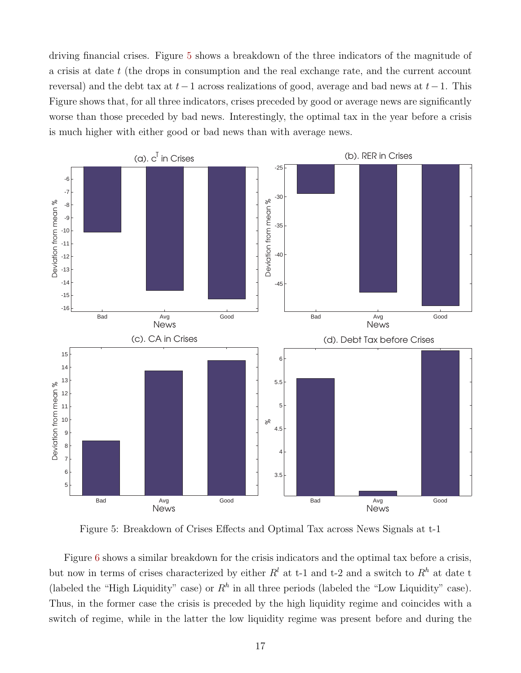driving financial crises. Figure [5](#page-18-0) shows a breakdown of the three indicators of the magnitude of a crisis at date t (the drops in consumption and the real exchange rate, and the current account reversal) and the debt tax at  $t-1$  across realizations of good, average and bad news at  $t-1$ . This Figure shows that, for all three indicators, crises preceded by good or average news are significantly worse than those preceded by bad news. Interestingly, the optimal tax in the year before a crisis is much higher with either good or bad news than with average news.

<span id="page-18-0"></span>

Figure 5: Breakdown of Crises Effects and Optimal Tax across News Signals at t-1

Figure [6](#page-19-0) shows a similar breakdown for the crisis indicators and the optimal tax before a crisis, but now in terms of crises characterized by either  $R<sup>l</sup>$  at t-1 and t-2 and a switch to  $R<sup>h</sup>$  at date t (labeled the "High Liquidity" case) or  $R<sup>h</sup>$  in all three periods (labeled the "Low Liquidity" case). Thus, in the former case the crisis is preceded by the high liquidity regime and coincides with a switch of regime, while in the latter the low liquidity regime was present before and during the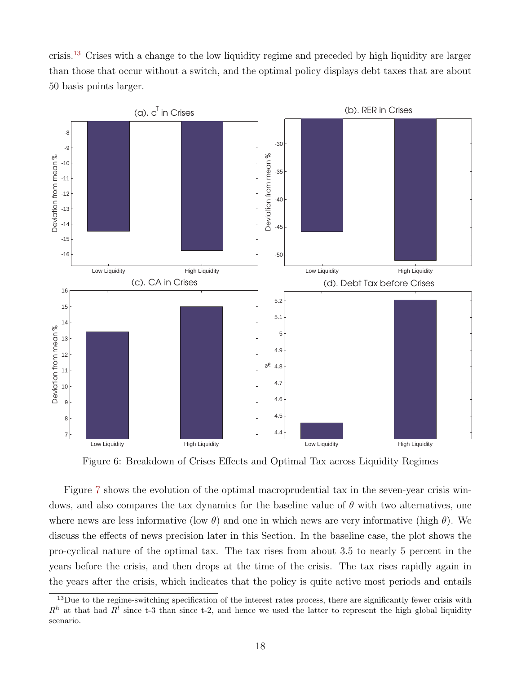crisis.[13](#page-19-1) Crises with a change to the low liquidity regime and preceded by high liquidity are larger than those that occur without a switch, and the optimal policy displays debt taxes that are about 50 basis points larger.

<span id="page-19-0"></span>

Figure 6: Breakdown of Crises Effects and Optimal Tax across Liquidity Regimes

Figure [7](#page-20-0) shows the evolution of the optimal macroprudential tax in the seven-year crisis windows, and also compares the tax dynamics for the baseline value of  $\theta$  with two alternatives, one where news are less informative (low  $\theta$ ) and one in which news are very informative (high  $\theta$ ). We discuss the effects of news precision later in this Section. In the baseline case, the plot shows the pro-cyclical nature of the optimal tax. The tax rises from about 3.5 to nearly 5 percent in the years before the crisis, and then drops at the time of the crisis. The tax rises rapidly again in the years after the crisis, which indicates that the policy is quite active most periods and entails

<span id="page-19-1"></span><sup>&</sup>lt;sup>13</sup>Due to the regime-switching specification of the interest rates process, there are significantly fewer crisis with  $R<sup>h</sup>$  at that had  $R<sup>l</sup>$  since t-3 than since t-2, and hence we used the latter to represent the high global liquidity scenario.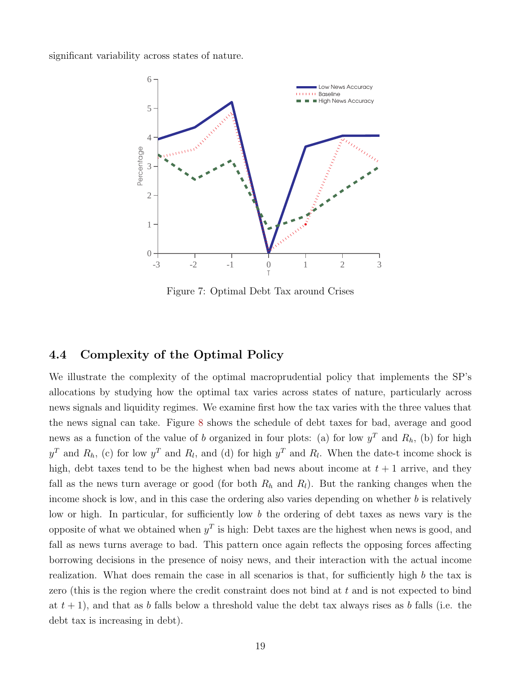<span id="page-20-0"></span>significant variability across states of nature.



Figure 7: Optimal Debt Tax around Crises

#### 4.4 Complexity of the Optimal Policy

We illustrate the complexity of the optimal macroprudential policy that implements the SP's allocations by studying how the optimal tax varies across states of nature, particularly across news signals and liquidity regimes. We examine first how the tax varies with the three values that the news signal can take. Figure [8](#page-21-0) shows the schedule of debt taxes for bad, average and good news as a function of the value of b organized in four plots: (a) for low  $y^T$  and  $R_h$ , (b) for high  $y<sup>T</sup>$  and  $R<sub>h</sub>$ , (c) for low  $y<sup>T</sup>$  and  $R<sub>l</sub>$ , and (d) for high  $y<sup>T</sup>$  and  $R<sub>l</sub>$ . When the date-t income shock is high, debt taxes tend to be the highest when bad news about income at  $t + 1$  arrive, and they fall as the news turn average or good (for both  $R_h$  and  $R_l$ ). But the ranking changes when the income shock is low, and in this case the ordering also varies depending on whether  $b$  is relatively low or high. In particular, for sufficiently low b the ordering of debt taxes as news vary is the opposite of what we obtained when  $y<sup>T</sup>$  is high: Debt taxes are the highest when news is good, and fall as news turns average to bad. This pattern once again reflects the opposing forces affecting borrowing decisions in the presence of noisy news, and their interaction with the actual income realization. What does remain the case in all scenarios is that, for sufficiently high b the tax is zero (this is the region where the credit constraint does not bind at t and is not expected to bind at  $t + 1$ ), and that as b falls below a threshold value the debt tax always rises as b falls (i.e. the debt tax is increasing in debt).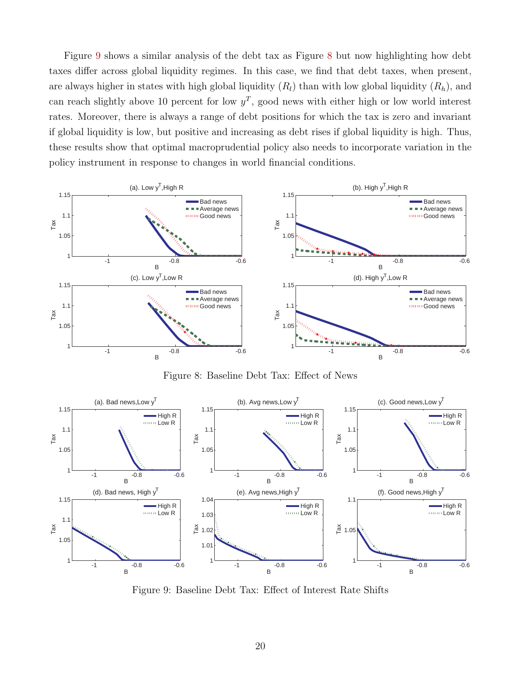Figure [9](#page-21-0) shows a similar analysis of the debt tax as Figure [8](#page-21-0) but now highlighting how debt taxes differ across global liquidity regimes. In this case, we find that debt taxes, when present, are always higher in states with high global liquidity  $(R_l)$  than with low global liquidity  $(R_h)$ , and can reach slightly above 10 percent for low  $y<sup>T</sup>$ , good news with either high or low world interest rates. Moreover, there is always a range of debt positions for which the tax is zero and invariant if global liquidity is low, but positive and increasing as debt rises if global liquidity is high. Thus, these results show that optimal macroprudential policy also needs to incorporate variation in the policy instrument in response to changes in world financial conditions.

<span id="page-21-0"></span>

Figure 8: Baseline Debt Tax: Effect of News



Figure 9: Baseline Debt Tax: Effect of Interest Rate Shifts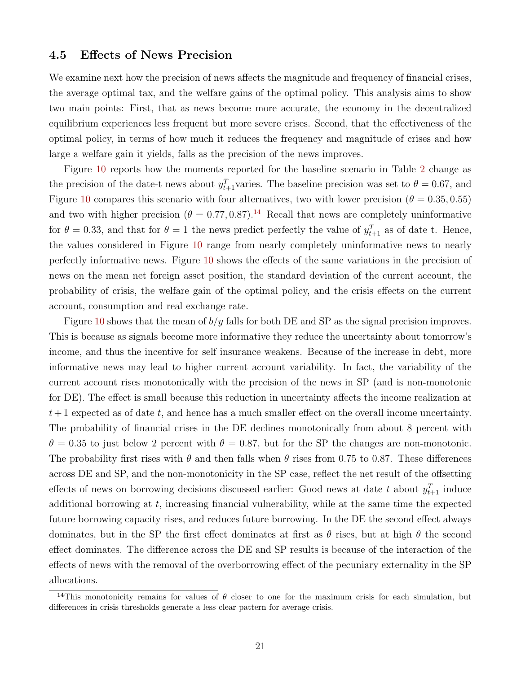#### 4.5 Effects of News Precision

We examine next how the precision of news affects the magnitude and frequency of financial crises, the average optimal tax, and the welfare gains of the optimal policy. This analysis aims to show two main points: First, that as news become more accurate, the economy in the decentralized equilibrium experiences less frequent but more severe crises. Second, that the effectiveness of the optimal policy, in terms of how much it reduces the frequency and magnitude of crises and how large a welfare gain it yields, falls as the precision of the news improves.

Figure [10](#page-23-0) reports how the moments reported for the baseline scenario in Table [2](#page-14-0) change as the precision of the date-t news about  $y_{t+1}^T$  varies. The baseline precision was set to  $\theta = 0.67$ , and Figure [10](#page-23-0) compares this scenario with four alternatives, two with lower precision ( $\theta = 0.35, 0.55$ ) and two with higher precision ( $\theta = 0.77, 0.87$ ).<sup>[14](#page-22-0)</sup> Recall that news are completely uninformative for  $\theta = 0.33$ , and that for  $\theta = 1$  the news predict perfectly the value of  $y_{t+1}^T$  as of date t. Hence, the values considered in Figure [10](#page-23-0) range from nearly completely uninformative news to nearly perfectly informative news. Figure [10](#page-23-0) shows the effects of the same variations in the precision of news on the mean net foreign asset position, the standard deviation of the current account, the probability of crisis, the welfare gain of the optimal policy, and the crisis effects on the current account, consumption and real exchange rate.

Figure [10](#page-23-0) shows that the mean of  $b/y$  falls for both DE and SP as the signal precision improves. This is because as signals become more informative they reduce the uncertainty about tomorrow's income, and thus the incentive for self insurance weakens. Because of the increase in debt, more informative news may lead to higher current account variability. In fact, the variability of the current account rises monotonically with the precision of the news in SP (and is non-monotonic for DE). The effect is small because this reduction in uncertainty affects the income realization at  $t+1$  expected as of date t, and hence has a much smaller effect on the overall income uncertainty. The probability of financial crises in the DE declines monotonically from about 8 percent with  $\theta = 0.35$  to just below 2 percent with  $\theta = 0.87$ , but for the SP the changes are non-monotonic. The probability first rises with  $\theta$  and then falls when  $\theta$  rises from 0.75 to 0.87. These differences across DE and SP, and the non-monotonicity in the SP case, reflect the net result of the offsetting effects of news on borrowing decisions discussed earlier: Good news at date t about  $y_{t+1}^T$  induce additional borrowing at t, increasing financial vulnerability, while at the same time the expected future borrowing capacity rises, and reduces future borrowing. In the DE the second effect always dominates, but in the SP the first effect dominates at first as  $\theta$  rises, but at high  $\theta$  the second effect dominates. The difference across the DE and SP results is because of the interaction of the effects of news with the removal of the overborrowing effect of the pecuniary externality in the SP allocations.

<span id="page-22-0"></span><sup>&</sup>lt;sup>14</sup>This monotonicity remains for values of  $\theta$  closer to one for the maximum crisis for each simulation, but differences in crisis thresholds generate a less clear pattern for average crisis.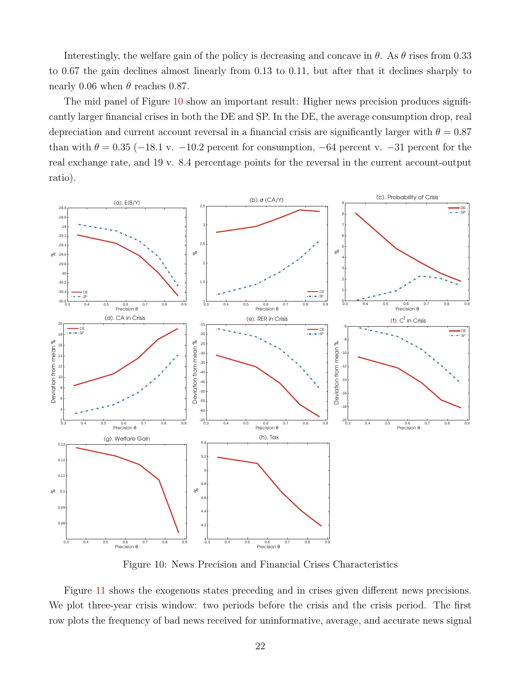Interestingly, the welfare gain of the policy is decreasing and concave in  $\theta$ . As  $\theta$  rises from 0.33 to 0.67 the gain declines almost linearly from 0.13 to 0.11, but after that it declines sharply to nearly 0.06 when  $\theta$  reaches 0.87.

The mid panel of Figure [10](#page-23-0) show an important result: Higher news precision produces significantly larger financial crises in both the DE and SP. In the DE, the average consumption drop, real depreciation and current account reversal in a financial crisis are significantly larger with  $\theta = 0.87$ than with  $\theta = 0.35$  (−18.1 v. −10.2 percent for consumption, −64 percent v. −31 percent for the real exchange rate, and 19 v. 8.4 percentage points for the reversal in the current account-output ratio).

<span id="page-23-0"></span>

Figure 10: News Precision and Financial Crises Characteristics

Figure [11](#page-24-0) shows the exogenous states preceding and in crises given different news precisions. We plot three-year crisis window: two periods before the crisis and the crisis period. The first row plots the frequency of bad news received for uninformative, average, and accurate news signal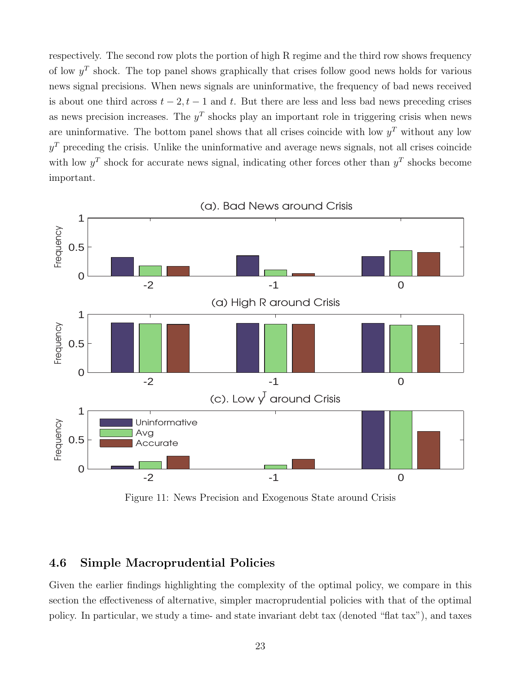respectively. The second row plots the portion of high R regime and the third row shows frequency of low  $y<sup>T</sup>$  shock. The top panel shows graphically that crises follow good news holds for various news signal precisions. When news signals are uninformative, the frequency of bad news received is about one third across  $t - 2$ ,  $t - 1$  and t. But there are less and less bad news preceding crises as news precision increases. The  $y<sup>T</sup>$  shocks play an important role in triggering crisis when news are uninformative. The bottom panel shows that all crises coincide with low  $y<sup>T</sup>$  without any low  $y<sup>T</sup>$  preceding the crisis. Unlike the uninformative and average news signals, not all crises coincide with low  $y^T$  shock for accurate news signal, indicating other forces other than  $y^T$  shocks become important.

<span id="page-24-0"></span>

(a). Bad News around Crisis

Figure 11: News Precision and Exogenous State around Crisis

#### 4.6 Simple Macroprudential Policies

Given the earlier findings highlighting the complexity of the optimal policy, we compare in this section the effectiveness of alternative, simpler macroprudential policies with that of the optimal policy. In particular, we study a time- and state invariant debt tax (denoted "flat tax"), and taxes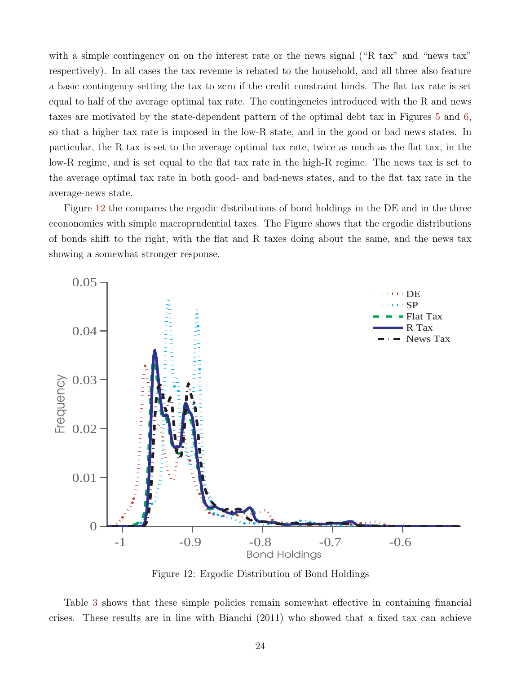with a simple contingency on on the interest rate or the news signal ("R tax" and "news tax" respectively). In all cases the tax revenue is rebated to the household, and all three also feature a basic contingency setting the tax to zero if the credit constraint binds. The flat tax rate is set equal to half of the average optimal tax rate. The contingencies introduced with the R and news taxes are motivated by the state-dependent pattern of the optimal debt tax in Figures [5](#page-18-0) and [6,](#page-19-0) so that a higher tax rate is imposed in the low-R state, and in the good or bad news states. In particular, the R tax is set to the average optimal tax rate, twice as much as the flat tax, in the low-R regime, and is set equal to the flat tax rate in the high-R regime. The news tax is set to the average optimal tax rate in both good- and bad-news states, and to the flat tax rate in the average-news state.

Figure [12](#page-25-0) the compares the ergodic distributions of bond holdings in the DE and in the three econonomies with simple macroprudential taxes. The Figure shows that the ergodic distributions of bonds shift to the right, with the flat and R taxes doing about the same, and the news tax showing a somewhat stronger response.

<span id="page-25-0"></span>

Figure 12: Ergodic Distribution of Bond Holdings

Table [3](#page-26-0) shows that these simple policies remain somewhat effective in containing financial crises. These results are in line with [Bianchi](#page-29-0) [\(2011\)](#page-29-0) who showed that a fixed tax can achieve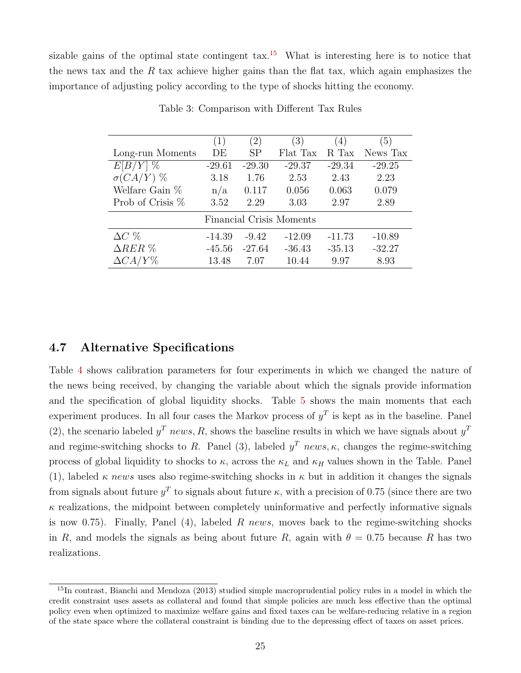<span id="page-26-0"></span>sizable gains of the optimal state contingent tax.<sup>[15](#page-26-1)</sup> What is interesting here is to notice that the news tax and the  $R$  tax achieve higher gains than the flat tax, which again emphasizes the importance of adjusting policy according to the type of shocks hitting the economy.

|                          | $\left(1\right)$ | $\left(2\right)$      | (3)          | 4)       | 5)       |  |  |
|--------------------------|------------------|-----------------------|--------------|----------|----------|--|--|
| Long-run Moments         | DE               | <b>SP</b><br>Flat Tax |              | R Tax    | News Tax |  |  |
| $E[B/Y]$ %               | $-29.61$         | $-29.30$              | $-29.37$     | $-29.34$ | $-29.25$ |  |  |
| $\sigma(CA/Y)$ %         | 3.18             | 1.76                  | 2.53         | 2.43     | 2.23     |  |  |
| Welfare Gain $%$         | n/a              | 0.117                 | 0.056        | 0.063    | 0.079    |  |  |
| Prob of Crisis %         | 3.52             | 2.29                  | 3.03<br>2.97 |          | 2.89     |  |  |
| Financial Crisis Moments |                  |                       |              |          |          |  |  |
| $\Delta C \%$            | $-14.39$         | $-9.42$               | $-12.09$     | $-11.73$ | $-10.89$ |  |  |
| $\triangle RER$ %        | $-45.56$         | $-27.64$              | $-36.43$     | $-35.13$ | $-32.27$ |  |  |
| $\Delta CA/Y\%$          | 13.48            | 7.07                  | 10.44        | 9.97     | 8.93     |  |  |

Table 3: Comparison with Different Tax Rules

#### 4.7 Alternative Specifications

Table [4](#page-27-0) shows calibration parameters for four experiments in which we changed the nature of the news being received, by changing the variable about which the signals provide information and the specification of global liquidity shocks. Table [5](#page-28-0) shows the main moments that each experiment produces. In all four cases the Markov process of  $y<sup>T</sup>$  is kept as in the baseline. Panel (2), the scenario labeled  $y<sup>T</sup>$  news, R, shows the baseline results in which we have signals about  $y<sup>T</sup>$ and regime-switching shocks to R. Panel (3), labeled  $y<sup>T</sup>$  news,  $\kappa$ , changes the regime-switching process of global liquidity to shocks to  $\kappa$ , across the  $\kappa_L$  and  $\kappa_H$  values shown in the Table. Panel (1), labeled  $\kappa$  news uses also regime-switching shocks in  $\kappa$  but in addition it changes the signals from signals about future  $y^T$  to signals about future  $\kappa$ , with a precision of 0.75 (since there are two  $\kappa$  realizations, the midpoint between completely uninformative and perfectly informative signals is now 0.75). Finally, Panel  $(4)$ , labeled R news, moves back to the regime-switching shocks in R, and models the signals as being about future R, again with  $\theta = 0.75$  because R has two realizations.

<span id="page-26-1"></span><sup>15</sup>In contrast, [Bianchi and Mendoza](#page-29-6) [\(2013\)](#page-29-6) studied simple macroprudential policy rules in a model in which the credit constraint uses assets as collateral and found that simple policies are much less effective than the optimal policy even when optimized to maximize welfare gains and fixed taxes can be welfare-reducing relative in a region of the state space where the collateral constraint is binding due to the depressing effect of taxes on asset prices.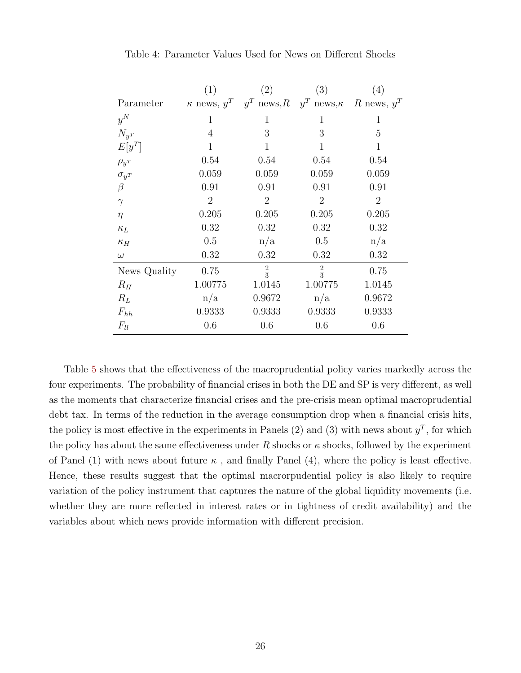<span id="page-27-0"></span>

|                | (1)            | (2)<br>(3)                                                              |                | (4)            |
|----------------|----------------|-------------------------------------------------------------------------|----------------|----------------|
| Parameter      |                | $\kappa$ news, $y^T$ $y^T$ news, $R$ $y^T$ news, $\kappa$ R news, $y^T$ |                |                |
| $y^N$          | 1              | 1                                                                       | 1              | 1              |
| $N_{yT}$       | 4              | 3                                                                       | 3              | 5              |
| $E[y^T]$       | 1              | 1                                                                       | 1              | $\mathbf{1}$   |
| $\rho_{y^T}$   | 0.54           | 0.54                                                                    | 0.54           | 0.54           |
| $\sigma_{y^T}$ | 0.059          | 0.059                                                                   | 0.059          | 0.059          |
| $\beta$        | 0.91           | 0.91                                                                    | 0.91           | 0.91           |
| $\gamma$       | $\overline{2}$ | $\overline{2}$                                                          | $\overline{2}$ | $\overline{2}$ |
| $\eta$         | 0.205          | 0.205                                                                   | 0.205          | 0.205          |
| $\kappa_L$     | 0.32           | 0.32                                                                    | 0.32           | 0.32           |
| $\kappa_H$     | 0.5            | n/a                                                                     | 0.5            | n/a            |
| $\omega$       | 0.32           | 0.32                                                                    | 0.32           | 0.32           |
| News Quality   | 0.75           | $\frac{2}{3}$                                                           | $\frac{2}{3}$  | 0.75           |
| $R_H$          | 1.00775        | 1.0145                                                                  | 1.00775        | 1.0145         |
| $R_L$          | n/a            | 0.9672                                                                  | n/a            | 0.9672         |
| $F_{hh}$       | 0.9333         | 0.9333                                                                  | 0.9333         | 0.9333         |
| $F_{ll}$       | 0.6            | 0.6                                                                     | 0.6            | 0.6            |

Table 4: Parameter Values Used for News on Different Shocks

Table [5](#page-28-0) shows that the effectiveness of the macroprudential policy varies markedly across the four experiments. The probability of financial crises in both the DE and SP is very different, as well as the moments that characterize financial crises and the pre-crisis mean optimal macroprudential debt tax. In terms of the reduction in the average consumption drop when a financial crisis hits, the policy is most effective in the experiments in Panels (2) and (3) with news about  $y<sup>T</sup>$ , for which the policy has about the same effectiveness under R shocks or  $\kappa$  shocks, followed by the experiment of Panel (1) with news about future  $\kappa$ , and finally Panel (4), where the policy is least effective. Hence, these results suggest that the optimal macrorpudential policy is also likely to require variation of the policy instrument that captures the nature of the global liquidity movements (i.e. whether they are more reflected in interest rates or in tightness of credit availability) and the variables about which news provide information with different precision.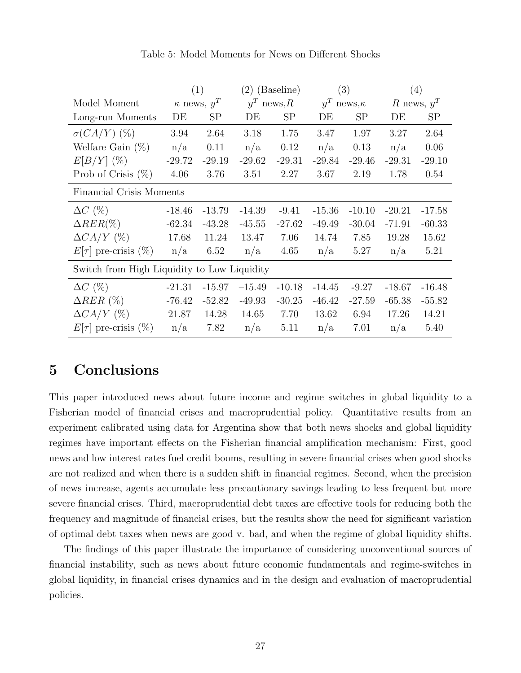<span id="page-28-0"></span>

|                                             | (1)                  |          | $(2)$ (Baseline) |          |                      | (3)      |               | (4)      |
|---------------------------------------------|----------------------|----------|------------------|----------|----------------------|----------|---------------|----------|
| Model Moment                                | $\kappa$ news, $y^T$ |          | $y^T$ news, R    |          | $y^T$ news, $\kappa$ |          | R news, $y^T$ |          |
| Long-run Moments                            | DE                   | SP       | DE               | SP       | DE                   | SP       | DE            | SP       |
| $\sigma(CA/Y)$ (%)                          | 3.94                 | 2.64     | 3.18             | 1.75     | 3.47                 | 1.97     | 3.27          | 2.64     |
| Welfare Gain $(\%)$                         | n/a                  | 0.11     | n/a              | 0.12     | n/a                  | 0.13     | n/a           | 0.06     |
| $E[B/Y]$ (%)                                | $-29.72$             | $-29.19$ | $-29.62$         | $-29.31$ | $-29.84$             | $-29.46$ | $-29.31$      | $-29.10$ |
| Prob of Crisis $(\%)$                       | 4.06                 | 3.76     | 3.51             | 2.27     | 3.67                 | 2.19     | 1.78          | 0.54     |
| Financial Crisis Moments                    |                      |          |                  |          |                      |          |               |          |
| $\Delta C$ (%)                              | $-18.46$             | $-13.79$ | $-14.39$         | $-9.41$  | $-15.36$             | $-10.10$ | $-20.21$      | $-17.58$ |
| $\Delta RER(\%)$                            | $-62.34$             | $-43.28$ | $-45.55$         | $-27.62$ | $-49.49$             | $-30.04$ | $-71.91$      | $-60.33$ |
| $\Delta CA/Y$ (%)                           | 17.68                | 11.24    | 13.47            | 7.06     | 14.74                | 7.85     | 19.28         | 15.62    |
| $E[\tau]$ pre-crisis $(\%)$                 | n/a                  | 6.52     | n/a              | 4.65     | n/a                  | 5.27     | n/a           | 5.21     |
| Switch from High Liquidity to Low Liquidity |                      |          |                  |          |                      |          |               |          |
| $\Delta C$ (%)                              | $-21.31$             | $-15.97$ | $-15.49$         | $-10.18$ | $-14.45$             | $-9.27$  | $-18.67$      | $-16.48$ |
| $\triangle RER$ (%)                         | $-76.42$             | $-52.82$ | $-49.93$         | $-30.25$ | $-46.42$             | $-27.59$ | $-65.38$      | $-55.82$ |
| $\Delta CA/Y$ (%)                           | 21.87                | 14.28    | 14.65            | 7.70     | 13.62                | 6.94     | 17.26         | 14.21    |
| $E[\tau]$ pre-crisis $(\%)$                 | n/a                  | 7.82     | n/a              | 5.11     | n/a                  | 7.01     | n/a           | 5.40     |

Table 5: Model Moments for News on Different Shocks

## 5 Conclusions

This paper introduced news about future income and regime switches in global liquidity to a Fisherian model of financial crises and macroprudential policy. Quantitative results from an experiment calibrated using data for Argentina show that both news shocks and global liquidity regimes have important effects on the Fisherian financial amplification mechanism: First, good news and low interest rates fuel credit booms, resulting in severe financial crises when good shocks are not realized and when there is a sudden shift in financial regimes. Second, when the precision of news increase, agents accumulate less precautionary savings leading to less frequent but more severe financial crises. Third, macroprudential debt taxes are effective tools for reducing both the frequency and magnitude of financial crises, but the results show the need for significant variation of optimal debt taxes when news are good v. bad, and when the regime of global liquidity shifts.

The findings of this paper illustrate the importance of considering unconventional sources of financial instability, such as news about future economic fundamentals and regime-switches in global liquidity, in financial crises dynamics and in the design and evaluation of macroprudential policies.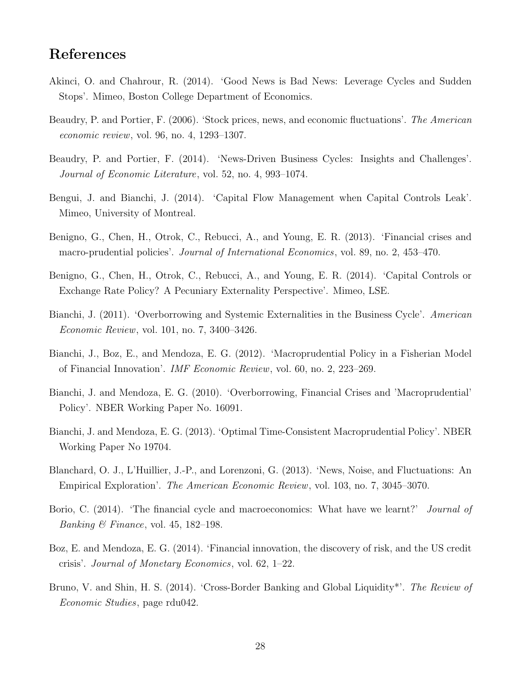## References

- <span id="page-29-13"></span>Akinci, O. and Chahrour, R. (2014). 'Good News is Bad News: Leverage Cycles and Sudden Stops'. Mimeo, Boston College Department of Economics.
- <span id="page-29-10"></span>Beaudry, P. and Portier, F. (2006). 'Stock prices, news, and economic fluctuations'. The American economic review, vol. 96, no. 4, 1293–1307.
- <span id="page-29-12"></span>Beaudry, P. and Portier, F. (2014). 'News-Driven Business Cycles: Insights and Challenges'. Journal of Economic Literature, vol. 52, no. 4, 993–1074.
- <span id="page-29-7"></span>Bengui, J. and Bianchi, J. (2014). 'Capital Flow Management when Capital Controls Leak'. Mimeo, University of Montreal.
- <span id="page-29-3"></span>Benigno, G., Chen, H., Otrok, C., Rebucci, A., and Young, E. R. (2013). 'Financial crises and macro-prudential policies'. Journal of International Economics, vol. 89, no. 2, 453–470.
- <span id="page-29-4"></span>Benigno, G., Chen, H., Otrok, C., Rebucci, A., and Young, E. R. (2014). 'Capital Controls or Exchange Rate Policy? A Pecuniary Externality Perspective'. Mimeo, LSE.
- <span id="page-29-0"></span>Bianchi, J. (2011). 'Overborrowing and Systemic Externalities in the Business Cycle'. American Economic Review, vol. 101, no. 7, 3400–3426.
- <span id="page-29-8"></span>Bianchi, J., Boz, E., and Mendoza, E. G. (2012). 'Macroprudential Policy in a Fisherian Model of Financial Innovation'. IMF Economic Review, vol. 60, no. 2, 223–269.
- <span id="page-29-5"></span>Bianchi, J. and Mendoza, E. G. (2010). 'Overborrowing, Financial Crises and 'Macroprudential' Policy'. NBER Working Paper No. 16091.
- <span id="page-29-6"></span>Bianchi, J. and Mendoza, E. G. (2013). 'Optimal Time-Consistent Macroprudential Policy'. NBER Working Paper No 19704.
- <span id="page-29-11"></span>Blanchard, O. J., L'Huillier, J.-P., and Lorenzoni, G. (2013). 'News, Noise, and Fluctuations: An Empirical Exploration'. The American Economic Review, vol. 103, no. 7, 3045–3070.
- <span id="page-29-2"></span>Borio, C. (2014). 'The financial cycle and macroeconomics: What have we learnt?' *Journal of* Banking & Finance, vol. 45, 182-198.
- <span id="page-29-9"></span>Boz, E. and Mendoza, E. G. (2014). 'Financial innovation, the discovery of risk, and the US credit crisis'. Journal of Monetary Economics, vol. 62, 1–22.
- <span id="page-29-1"></span>Bruno, V. and Shin, H. S. (2014). 'Cross-Border Banking and Global Liquidity<sup>\*</sup>'. *The Review of* Economic Studies, page rdu042.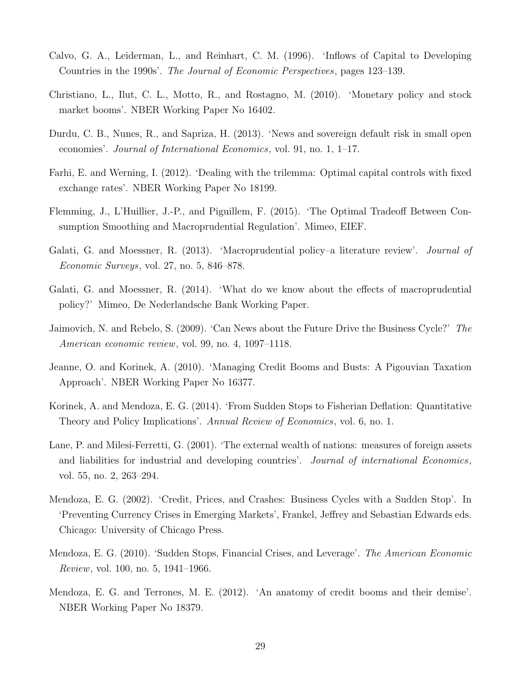- <span id="page-30-1"></span>Calvo, G. A., Leiderman, L., and Reinhart, C. M. (1996). 'Inflows of Capital to Developing Countries in the 1990s'. The Journal of Economic Perspectives, pages 123–139.
- <span id="page-30-10"></span>Christiano, L., Ilut, C. L., Motto, R., and Rostagno, M. (2010). 'Monetary policy and stock market booms'. NBER Working Paper No 16402.
- <span id="page-30-12"></span>Durdu, C. B., Nunes, R., and Sapriza, H. (2013). 'News and sovereign default risk in small open economies'. Journal of International Economics, vol. 91, no. 1, 1–17.
- <span id="page-30-7"></span>Farhi, E. and Werning, I. (2012). 'Dealing with the trilemma: Optimal capital controls with fixed exchange rates'. NBER Working Paper No 18199.
- <span id="page-30-8"></span>Flemming, J., L'Huillier, J.-P., and Piguillem, F. (2015). 'The Optimal Tradeoff Between Consumption Smoothing and Macroprudential Regulation'. Mimeo, EIEF.
- <span id="page-30-4"></span>Galati, G. and Moessner, R. (2013). 'Macroprudential policy–a literature review'. *Journal of* Economic Surveys, vol. 27, no. 5, 846–878.
- <span id="page-30-5"></span>Galati, G. and Moessner, R. (2014). 'What do we know about the effects of macroprudential policy?' Mimeo, De Nederlandsche Bank Working Paper.
- <span id="page-30-9"></span>Jaimovich, N. and Rebelo, S. (2009). 'Can News about the Future Drive the Business Cycle?' The American economic review, vol. 99, no. 4, 1097–1118.
- <span id="page-30-3"></span>Jeanne, O. and Korinek, A. (2010). 'Managing Credit Booms and Busts: A Pigouvian Taxation Approach'. NBER Working Paper No 16377.
- <span id="page-30-6"></span>Korinek, A. and Mendoza, E. G. (2014). 'From Sudden Stops to Fisherian Deflation: Quantitative Theory and Policy Implications'. Annual Review of Economics, vol. 6, no. 1.
- <span id="page-30-13"></span>Lane, P. and Milesi-Ferretti, G. (2001). 'The external wealth of nations: measures of foreign assets and liabilities for industrial and developing countries'. *Journal of international Economics*, vol. 55, no. 2, 263–294.
- <span id="page-30-11"></span>Mendoza, E. G. (2002). 'Credit, Prices, and Crashes: Business Cycles with a Sudden Stop'. In 'Preventing Currency Crises in Emerging Markets', Frankel, Jeffrey and Sebastian Edwards eds. Chicago: University of Chicago Press.
- <span id="page-30-0"></span>Mendoza, E. G. (2010). 'Sudden Stops, Financial Crises, and Leverage'. The American Economic Review, vol. 100, no. 5, 1941–1966.
- <span id="page-30-2"></span>Mendoza, E. G. and Terrones, M. E. (2012). 'An anatomy of credit booms and their demise'. NBER Working Paper No 18379.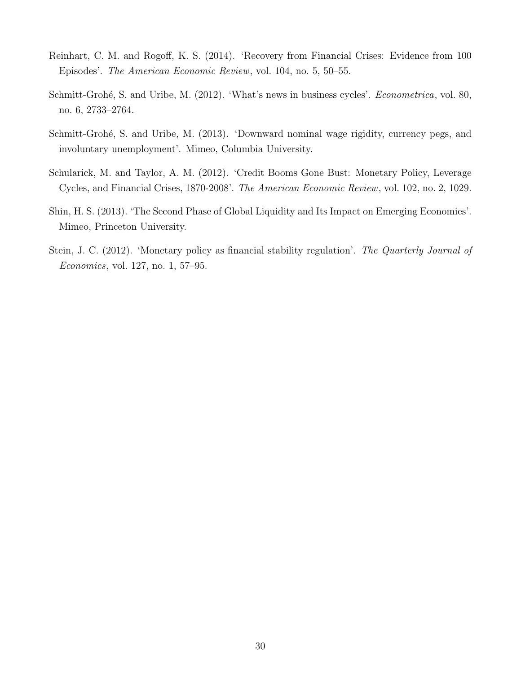- <span id="page-31-1"></span>Reinhart, C. M. and Rogoff, K. S. (2014). 'Recovery from Financial Crises: Evidence from 100 Episodes'. The American Economic Review, vol. 104, no. 5, 50–55.
- <span id="page-31-4"></span>Schmitt-Grohé, S. and Uribe, M. (2012). 'What's news in business cycles'. *Econometrica*, vol. 80, no. 6, 2733–2764.
- <span id="page-31-3"></span>Schmitt-Grohé, S. and Uribe, M. (2013). 'Downward nominal wage rigidity, currency pegs, and involuntary unemployment'. Mimeo, Columbia University.
- <span id="page-31-2"></span>Schularick, M. and Taylor, A. M. (2012). 'Credit Booms Gone Bust: Monetary Policy, Leverage Cycles, and Financial Crises, 1870-2008'. The American Economic Review, vol. 102, no. 2, 1029.
- <span id="page-31-0"></span>Shin, H. S. (2013). 'The Second Phase of Global Liquidity and Its Impact on Emerging Economies'. Mimeo, Princeton University.
- <span id="page-31-5"></span>Stein, J. C. (2012). 'Monetary policy as financial stability regulation'. The Quarterly Journal of Economics, vol. 127, no. 1, 57–95.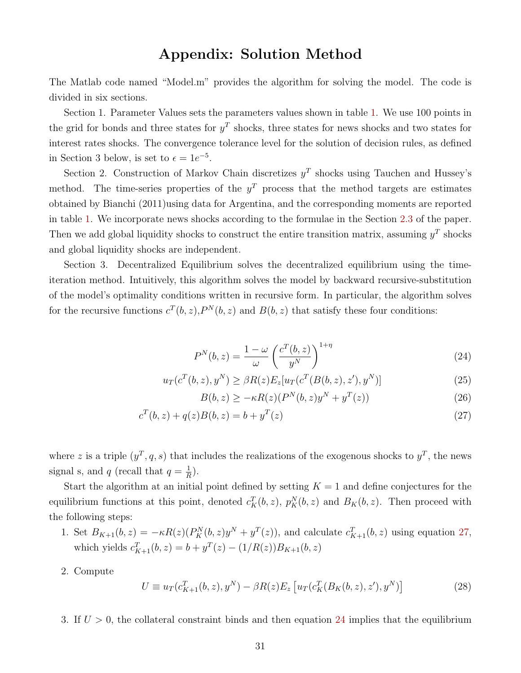### Appendix: Solution Method

The Matlab code named "Model.m" provides the algorithm for solving the model. The code is divided in six sections.

Section 1. Parameter Values sets the parameters values shown in table [1.](#page-11-0) We use 100 points in the grid for bonds and three states for  $y<sup>T</sup>$  shocks, three states for news shocks and two states for interest rates shocks. The convergence tolerance level for the solution of decision rules, as defined in Section 3 below, is set to  $\epsilon = 1e^{-5}$ .

Section 2. Construction of Markov Chain discretizes  $y<sup>T</sup>$  shocks using Tauchen and Hussey's method. The time-series properties of the  $y<sup>T</sup>$  process that the method targets are estimates obtained by [Bianchi](#page-29-0) [\(2011\)](#page-29-0)using data for Argentina, and the corresponding moments are reported in table [1.](#page-11-0) We incorporate news shocks according to the formulae in the Section [2.3](#page-6-0) of the paper. Then we add global liquidity shocks to construct the entire transition matrix, assuming  $y<sup>T</sup>$  shocks and global liquidity shocks are independent.

Section 3. Decentralized Equilibrium solves the decentralized equilibrium using the timeiteration method. Intuitively, this algorithm solves the model by backward recursive-substitution of the model's optimality conditions written in recursive form. In particular, the algorithm solves for the recursive functions  $c^T(b, z), P^N(b, z)$  and  $B(b, z)$  that satisfy these four conditions:

<span id="page-32-1"></span>
$$
P^{N}(b, z) = \frac{1 - \omega}{\omega} \left( \frac{c^{T}(b, z)}{y^{N}} \right)^{1 + \eta}
$$
\n(24)

$$
u_T(c^T(b, z), y^N) \ge \beta R(z) E_z[u_T(c^T(B(b, z), z'), y^N)]
$$
\n(25)

<span id="page-32-3"></span><span id="page-32-2"></span><span id="page-32-0"></span>
$$
B(b, z) \ge -\kappa R(z)(PN(b, z)yN + yT(z))
$$
\n(26)

$$
c^{T}(b, z) + q(z)B(b, z) = b + y^{T}(z)
$$
\n(27)

where z is a triple  $(y^T, q, s)$  that includes the realizations of the exogenous shocks to  $y^T$ , the news signal s, and q (recall that  $q = \frac{1}{R}$  $\frac{1}{R}$ ).

Start the algorithm at an initial point defined by setting  $K = 1$  and define conjectures for the equilibrium functions at this point, denoted  $c_K^T(b, z)$ ,  $p_K^N(b, z)$  and  $B_K(b, z)$ . Then proceed with the following steps:

- 1. Set  $B_{K+1}(b, z) = -\kappa R(z) (P_K^N(b, z) y^N + y^T(z))$ , and calculate  $c_{K+1}^T(b, z)$  using equation [27,](#page-32-0) which yields  $c_{K+1}^T(b, z) = b + y^T(z) - (1/R(z))B_{K+1}(b, z)$
- 2. Compute

$$
U \equiv u_T(c_{K+1}^T(b, z), y^N) - \beta R(z) E_z \left[ u_T(c_K^T(B_K(b, z), z'), y^N) \right]
$$
(28)

3. If  $U > 0$ , the collateral constraint binds and then equation [24](#page-32-1) implies that the equilibrium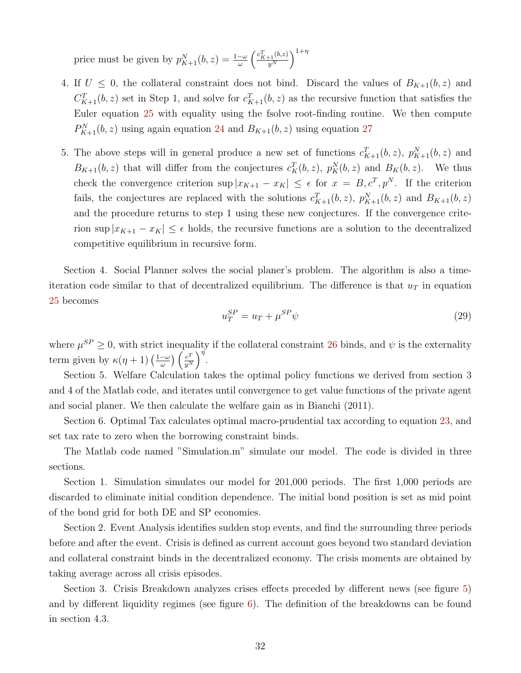price must be given by  $p_{K+1}^N(b, z) = \frac{1-\omega}{\omega} \left( \frac{c_{K+1}^T(b, z)}{y^N} \right)$  $\frac{1}{y^N} \bigg)^{1+\eta}$ 

- 4. If  $U \leq 0$ , the collateral constraint does not bind. Discard the values of  $B_{K+1}(b, z)$  and  $C_{K+1}^T(b, z)$  set in Step 1, and solve for  $c_{K+1}^T(b, z)$  as the recursive function that satisfies the Euler equation [25](#page-32-2) with equality using the fsolve root-finding routine. We then compute  $P_{K+1}^{N}(b, z)$  using again equation [24](#page-32-1) and  $B_{K+1}(b, z)$  using equation [27](#page-32-0)
- 5. The above steps will in general produce a new set of functions  $c_{K+1}^T(b, z)$ ,  $p_{K+1}^N(b, z)$  and  $B_{K+1}(b, z)$  that will differ from the conjectures  $c_K^T(b, z)$ ,  $p_K^N(b, z)$  and  $B_K(b, z)$ . We thus check the convergence criterion  $\sup |x_{K+1} - x_K| \leq \epsilon$  for  $x = B, c^T, p^N$ . If the criterion fails, the conjectures are replaced with the solutions  $c_{K+1}^T(b, z)$ ,  $p_{K+1}^N(b, z)$  and  $B_{K+1}(b, z)$ and the procedure returns to step 1 using these new conjectures. If the convergence criterion sup  $|x_{K+1} - x_K| \leq \epsilon$  holds, the recursive functions are a solution to the decentralized competitive equilibrium in recursive form.

Section 4. Social Planner solves the social planer's problem. The algorithm is also a timeiteration code similar to that of decentralized equilibrium. The difference is that  $u_T$  in equation [25](#page-32-2) becomes

$$
u_T^{SP} = u_T + \mu^{SP} \psi \tag{29}
$$

where  $\mu^{SP} \geq 0$ , with strict inequality if the collateral constraint [26](#page-32-3) binds, and  $\psi$  is the externality term given by  $\kappa(\eta+1)$   $\left(\frac{1-\omega}{\omega}\right)$  $\left(\frac{c^T}{y^N}\right)\left(\frac{c^T}{y^N}\right)$  $\left(\frac{c^T}{y^N}\right)^{\eta}.$ 

Section 5. Welfare Calculation takes the optimal policy functions we derived from section 3 and 4 of the Matlab code, and iterates until convergence to get value functions of the private agent and social planer. We then calculate the welfare gain as in [Bianchi](#page-29-0) [\(2011\)](#page-29-0).

Section 6. Optimal Tax calculates optimal macro-prudential tax according to equation [23,](#page-10-3) and set tax rate to zero when the borrowing constraint binds.

The Matlab code named "Simulation.m" simulate our model. The code is divided in three sections.

Section 1. Simulation simulates our model for 201,000 periods. The first 1,000 periods are discarded to eliminate initial condition dependence. The initial bond position is set as mid point of the bond grid for both DE and SP economies.

Section 2. Event Analysis identifies sudden stop events, and find the surrounding three periods before and after the event. Crisis is defined as current account goes beyond two standard deviation and collateral constraint binds in the decentralized economy. The crisis moments are obtained by taking average across all crisis episodes.

Section 3. Crisis Breakdown analyzes crises effects preceded by different news (see figure [5\)](#page-18-0) and by different liquidity regimes (see figure  $6$ ). The definition of the breakdowns can be found in section 4.3.